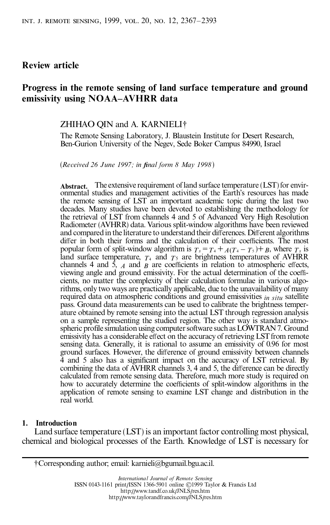## **Review article**

# **Progress in the remote sensing of land surface temperature and ground emissivity using NOAA±AVHRR data**

ZHIHAO QIN and A. KARNIELI²

The Remote Sensing Laboratory, J. Blaustein Institute for Desert Research, Ben-Gurion University of the Negev, Sede Boker Campus 84990, Israel

(*Received 26 June 1997; in final form 8 May 1998*)

**Abstract.** The extensive requirement of land surface temperature (LST) for environmental studies and management activities of the Earth's resources has made the remote sensing of LST an important academic topic during the last two decades. Many studies have been devoted to establishing the methodology for the retrieval of LST from channels 4 and 5 of Advanced Very High Resolution Radiometer (AVHRR) data. Various split-window algorithms have been reviewed and compared in the literature to understand their differences. Different algorithms differ in both their forms and the calculation of their coefficients. The most popular form of split-window algorithm is  $T_s = T_4 + A(T_4 - T_5) + B$ , where  $T_s$  is land surface temperature,  $T_4$  and  $T_5$  are brightness temperatures of AVHRR channels 4 and  $\bar{5}$ , *A* and *B* are coefficients in relation to atmospheric effects, viewing angle and ground emissivity. For the actual determination of the coefficients, no matter the complexity of their calculation formulae in various algorithms, only two ways are practically applicable, due to the unavailability of many required data on atmospheric conditions and ground emissivities *in situ* satellite pass. Ground data measurements can be used to calibrate the brightness temperature obtained by remote sensing into the actual LST through regression analysis on a sample representing the studied region. The other way is standard atmospheric profile simulation using computer software such as LOWTRAN7. Ground emissivity has a considerable effect on the accuracy of retrieving LST from remote sensing data. Generally, it is rational to assume an emissivity of 0.96 for most ground surfaces. However, the difference of ground emissivity between channels 4 and 5 also has a significant impact on the accuracy of LST retrieval. By combining the data of AVHRR channels 3, 4 and 5, the difference can be directly calculated from remote sensing data. Therefore, much more study is required on how to accurately determine the coefficients of split-window algorithms in the application of remote sensing to examine LST change and distribution in the real world.

#### **1. Introduction**

Land surface temperature (LST) is an important factor controlling most physical, chemical and biological processes of the Earth. Knowledge of LST is necessary for

²Corresponding author; email: karnieli@bgumail.bgu.ac.il.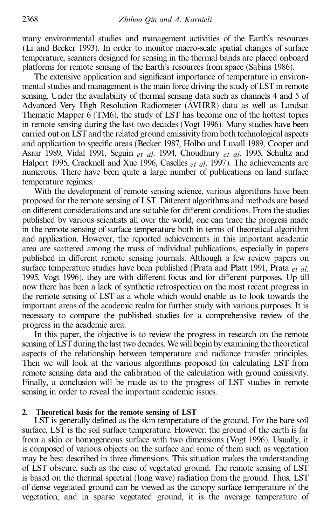many environmental studies and management activities of the Earth's resources (Li and Becker 1993). In order to monitor macro-scale spatial changes of surface temperature, scanners designed for sensing in the thermal bands are placed onboard platforms for remote sensing of the Earth's resources from space (Sabins 1986).

The extensive application and significant importance of temperature in environmental studies and management is the main force driving the study of LST in remote sensing. Under the availability of thermal sensing data such as channels 4 and 5 of Advanced Very High Resolution Radiometer (AVHRR) data as well as Landsat Thematic Mapper 6 (TM6), the study of LST has become one of the hottest topics in remote sensing during the last two decades (Vogt 1996). Many studies have been carried out on LSTand the related ground emissivity from both technological aspects and application to specific areas (Becker 1987, Holbo and Luvall 1989, Cooper and Asrar 1989, Vidal 1991, Seguin *et al*. 1994, Choudhury *et al*. 1995, Schultz and Halpert 1995, Cracknell and Xue 1996, Caselles *et al*. 1997). The achievements are numerous. There have been quite a large number of publications on land surface temperature regimes.

With the development of remote sensing science, various algorithms have been proposed for the remote sensing of LST. Different algorithms and methods are based on different considerations and are suitable for different conditions. From the studies published by various scientists all over the world, one can trace the progress made in the remote sensing of surface temperature both in terms of theoretical algorithm and application. However, the reported achievements in this important academic area are scattered among the mass of individual publications, especially in papers published in different remote sensing journals. Although a few review papers on surface temperature studies have been published (Prata and Platt 1991, Prata *et al*. 1995, Vogt 1996), they are with different focus and for different purposes. Up till now there has been a lack of synthetic retrospection on the most recent progress in the remote sensing of LST as a whole which would enable us to look towards the important areas of the academic realm for further study with various purposes. It is necessary to compare the published studies for a comprehensive review of the progress in the academic area.

In this paper, the objective is to review the progress in research on the remote sensing of LST during the last two decades. We will begin by examining the theoretical aspects of the relationship between temperature and radiance transfer principles. Then we will look at the various algorithms proposed for calculating LST from remote sensing data and the calibration of the calculation with ground emissivity. Finally, a conclusion will be made as to the progress of LST studies in remote sensing in order to reveal the important academic issues.

### **2. Theoretical basis for the remote sensing of LST**

LST is generally defined as the skin temperature of the ground. For the bare soil surface, LST is the soil surface temperature. However, the ground of the earth is far from a skin or homogeneous surface with two dimensions (Vogt 1996). Usually, it is composed of various objects on the surface and some of them such as vegetation may be best described in three dimensions. This situation makes the understanding of LST obscure, such as the case of vegetated ground. The remote sensing of LST is based on the thermal spectral (long wave) radiation from the ground. Thus, LST of dense vegetated ground can be viewed as the canopy surface temperature of the vegetation, and in sparse vegetated ground, it is the average temperature of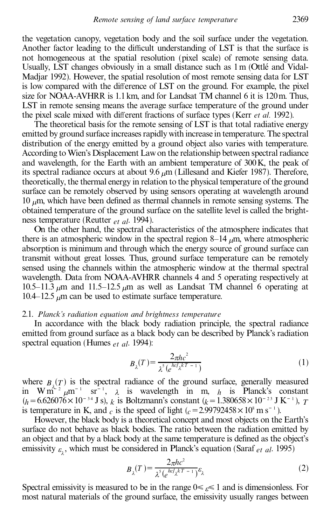the vegetation canopy, vegetation body and the soil surface under the vegetation. Another factor leading to the difficult understanding of LST is that the surface is not homogeneous at the spatial resolution (pixel scale) of remote sensing data. Usually, LST changes obviously in a small distance such as  $1 \text{ m}$  (Ottlé and Vidal-Madjar 1992). However, the spatial resolution of most remote sensing data for LST is low compared with the difference of LST on the ground. For example, the pixel size for NOAA-AVHRR is 1.1km, and for Landsat TM channel 6 it is 120m. Thus, LST in remote sensing means the average surface temperature of the ground under the pixel scale mixed with different fractions of surface types (Kerr *et al.* 1992).

The theoretical basis for the remote sensing of LST is that total radiative energy emitted by ground surface increases rapidly with increase in temperature. The spectral distribution of the energy emitted by a ground object also varies with temperature. According to Wien's Displacement Lawon the relationship between spectral radiance and wavelength, for the Earth with an ambient temperature of 300K, the peak of its spectral radiance occurs at about 9.6  $\mu$ m (Lillesand and Kiefer 1987). Therefore, theoretically, the thermal energy in relation to the physical temperature of the ground surface can be remotely observed by using sensors operating at wavelength around 10  $\mu$ m, which have been defined as thermal channels in remote sensing systems. The obtained temperature of the ground surface on the satellite level is called the brightness temperature (Reutter *et al*. 1994).

On the other hand, the spectral characteristics of the atmosphere indicates that there is an atmospheric window in the spectral region  $8-14 \mu m$ , where atmospheric absorption is minimum and through which the energy source of ground surface can transmit without great losses. Thus, ground surface temperature can be remotely sensed using the channels within the atmospheric window at the thermal spectral wavelength. Data from NOAA-AVHRR channels 4 and 5 operating respectively at 10.5 $-11.3 \mu$ m and 11.5 $-12.5 \mu$ m as well as Landsat TM channel 6 operating at 10.4 $-12.5 \mu$ m can be used to estimate surface temperature.

### 2.1. *Planck's radiation equation and brightness temperature*

In accordance with the black body radiation principle, the spectral radiance emitted from ground surface as a black body can be described by Planck's radiation spectral equation (Humes *et al*. 1994):

$$
B_{\lambda}(T) = \frac{2\pi hc^2}{\lambda^5 (e^{hc/\lambda kT - 1})}
$$
 (1)

where  $B_{\lambda}(T)$  is the spectral radiance of the ground surface, generally measured in  $W m^{\epsilon_2} \mu m^{-1}$  sr<sup>-1</sup>,  $\lambda$  is wavelength in m,  $h$  is Planck's constant  $(h = 6.626076 \times 10^{-34} \text{ J s})$ , *k* is Boltzmann's constant (*k* = 1.380658 $\times 10^{-23} \text{ J K}^{-1}$ ), *T* is temperature in K, and  $_c$  is the speed of light  $(c=2.99792458\times10^8 \text{ m s}^{-1})$ .

However, the black body is a theoretical concept and most objects on the Earth's surface do not behave as black bodies. The ratio between the radiation emitted by an object and that by a black body at the same temperature is defined as the object's emissivity  $\varepsilon$ <sub>2</sub>, which must be considered in Planck's equation (Saraf *et al.* 1995)

$$
B_{\lambda}(T) = \frac{2\pi hc^2}{\lambda^5 (e^{hc/\lambda^2 T - 1})} \varepsilon_{\lambda}
$$
 (2)

Spectral emissivity is measured to be in the range 0< *e*< 1 and is dimensionless. For most natural materials of the ground surface, the emissivity usually ranges between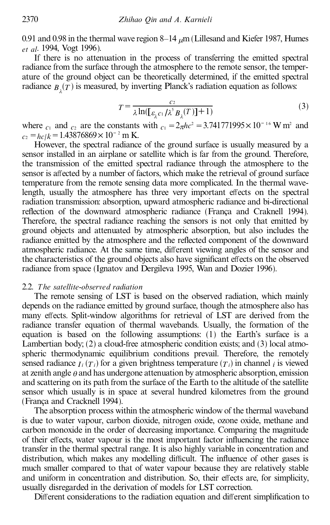0.91 and 0.98 in the thermal wave region  $8-14 \mu m$  (Lillesand and Kiefer 1987, Humes *et al*. 1994, Vogt 1996).

If there is no attenuation in the process of transferring the emitted spectral radiance from the surface through the atmosphere to the remote sensor, the temperature of the ground object can be theoretically determined, if the emitted spectral radiance  $B_\lambda(T)$  is measured, by inverting Planck's radiation equation as follows:

$$
T = \frac{c_2}{\lambda \ln(\left[\varepsilon_{\lambda} c_1 / \lambda^5 B_{\lambda}(T)\right] + 1)}
$$
(3)

where  $c_1$  and  $c_2$  are the constants with  $c_1 = 2\pi h c^2 = 3.741771995 \times 10^{-16}$  W m<sup>2</sup> and  $c_2 = hc/k = 1.43876869 \times 10^{-2}$  m K.

However, the spectral radiance of the ground surface is usually measured by a sensor installed in an airplane or satellite which is far from the ground. Therefore, the transmission of the emitted spectral radiance through the atmosphere to the sensor is affected by a number of factors, which make the retrieval of ground surface temperature from the remote sensing data more complicated. In the thermal wavelength, usually the atmosphere has three very important effects on the spectral radiation transmission: absorption, upward atmospheric radiance and bi-directional reflection of the downward atmospheric radiance (França and Craknell 1994). Therefore, the spectral radiance reaching the sensors is not only that emitted by ground objects and attenuated by atmospheric absorption, but also includes the radiance emitted by the atmosphere and the reflected component of the downward atmospheric radiance. At the same time, different viewing angles of the sensor and the characteristics of the ground objects also have significant effects on the observed radiance from space (Ignatov and Dergileva 1995, Wan and Dozier 1996).

### 2.2. *T he satellite-observed radiation*

The remote sensing of LST is based on the observed radiation, which mainly depends on the radiance emitted by ground surface, though the atmosphere also has many effects. Split-window algorithms for retrieval of LST are derived from the radiance transfer equation of thermal wavebands. Usually, the formation of the equation is based on the following assumptions: (1) the Earth's surface is a Lambertian body; (2) a cloud-free atmospheric condition exists; and (3) local atmospheric thermodynamic equilibrium conditions prevail. Therefore, the remotely sensed radiance  $I_i(T_i)$  for a given brightness temperature  $(T_i)$  in channel *i* is viewed at zenith angle *h* and has undergone attenuation by atmospheric absorption, emission and scattering on its path from the surface of the Earth to the altitude of the satellite sensor which usually is in space at several hundred kilometres from the ground (Franca and Cracknell 1994).

The absorption process within the atmospheric window of the thermal waveband is due to water vapour, carbon dioxide, nitrogen oxide, ozone oxide, methane and carbon monoxide in the order of decreasing importance. Comparing the magnitude of their effects, water vapour is the most important factor influencing the radiance transfer in the thermal spectral range. It is also highly variable in concentration and distribution, which makes any modelling difficult. The influence of other gases is much smaller compared to that of water vapour because they are relatively stable and uniform in concentration and distribution. So, their effects are, for simplicity, usually disregarded in the derivation of models for LST correction.

Different considerations to the radiation equation and different simplification to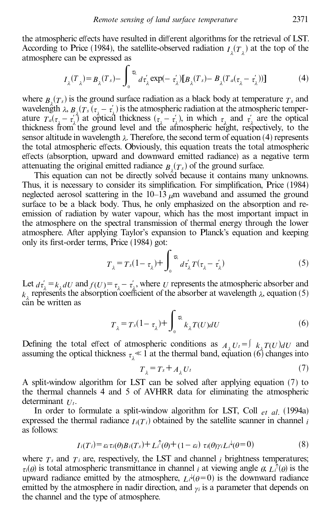the atmospheric effects have resulted in different algorithms for the retrieval of LST. According to Price (1984), the satellite-observed radiation  $I_{\lambda}(T_{\lambda})$  at the top of the atmosphere can be expressed as

$$
I_{\lambda}(T_{\lambda}) = B_{\lambda}(T_s) - \int_0^{\infty} d\tau_{\lambda} \exp(-\tau_{\lambda}^{'}) [B_{\lambda}(T_s) - B_{\lambda}(T_a(\tau_{\lambda} - \tau_{\lambda}^{'}))]
$$
(4)

where  $B_{\lambda}(T_s)$  is the ground surface radiation as a black body at temperature  $T_s$  and wavelength  $\lambda$ ,  $B_{\lambda}(T_s(\tau_a-\tau_a))$  is the atmospheric radiation at the atmospheric temperature  $T_a(\tau_1 - \tau_1)$  at optical thickness  $(\tau_1 - \tau_1)$ , in which  $\tau_2$  and  $\tau_2$  are the optical thickness from the ground level and the atmospheric height, respectively, to the sensor altitude in wavelength  $\lambda$ . Therefore, the second term of equation (4) represents the total atmospheric effects. Obviously, this equation treats the total atmospheric effects (absorption, upward and downward emitted radiance) as a negative term attenuating the original emitted radiance  $B_2(T_s)$  of the ground surface.

This equation can not be directly solved because it contains many unknowns. Thus, it is necessary to consider its simplification. For simplification, Price (1984) neglected aerosol scattering in the  $10-13 \mu m$  waveband and assumed the ground surface to be a black body. Thus, he only emphasized on the absorption and reemission of radiation by water vapour, which has the most important impact in the atmosphere on the spectral transmission of thermal energy through the lower atmosphere. After applying Taylor's expansion to Planck's equation and keeping only its first-order terms, Price (1984) got:

$$
T_{\lambda} = T_s (1 - \tau_{\lambda}) + \int_0^{\tau_{\lambda}} d\tau_{\lambda}^{\prime} T(\tau_{\lambda} - \tau_{\lambda}^{\prime})
$$
 (5)

Let  $d\tau'_{\lambda} = k_{\lambda} dU$  and  $f(U) = \tau_{\lambda} - \tau'_{\lambda}$ , where *U* represents the atmospheric absorber and ¾ ¾  $k$ <sup>2</sup> represents the absorption coefficient of the absorber at wavelength  $\lambda$ , equation (5) can be written as

$$
T_{\lambda} = T_s(1 - \tau_{\lambda}) + \int_0^{\tau_{\lambda}} k_{\lambda} T(U) dU
$$
 (6)

Defining the total effect of atmospheric conditions as  $A_{\lambda}U_{i} = \int k_{\lambda}T(U) dU$  and assuming the optical thickness  $\tau_{\lambda} \ll 1$  at the thermal band, equation (6) changes into

$$
T_{\lambda} = T_s + A_{\lambda} U_t \tag{7}
$$

A split-window algorithm for LST can be solved after applying equation (7) to the thermal channels 4 and 5 of AVHRR data for eliminating the atmospheric determinant *U<sup>t</sup>* .

In order to formulate a split-window algorithm for LST, Coll *et al*. (1994a) expressed the thermal radiance  $I_i(T_i)$  obtained by the satellite scanner in channel *i* as follows:

$$
I_i(T_i) = \varepsilon_i \tau_i(\theta) B_i(T_s) + L_i^{\uparrow}(\theta) + (1 - \varepsilon_i) \tau_i(\theta) \gamma_i L_i^{\downarrow}(\theta = 0)
$$
\n(8)

where  $T_s$  and  $T_i$  are, respectively, the LST and channel *i* brightness temperatures;  $\tau_i(\theta)$  is total atmospheric transmittance in channel *i* at viewing angle  $\theta$ ,  $L_i^{\uparrow}(\theta)$  is the upward radiance emitted by the atmosphere,  $L_i^{\mu}(\theta=0)$  is the downward radiance emitted by the atmosphere in nadir direction, and  $\gamma$ *i* is a parameter that depends on the channel and the type of atmosphere.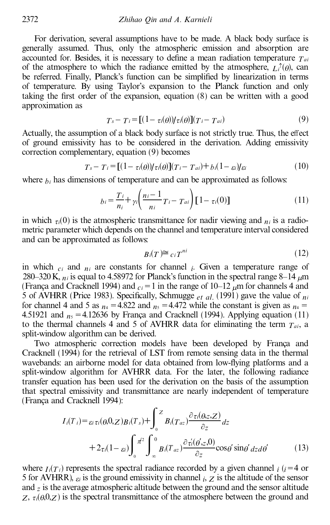For derivation, several assumptions have to be made. A black body surface is generally assumed. Thus, only the atmospheric emission and absorption are accounted for. Besides, it is necessary to define a mean radiation temperature  $T_{ai}$ of the atmosphere to which the radiance emitted by the atmosphere,  $L_i^{\uparrow}(\theta)$ , can be referred. Finally, Planck's function can be simplified by linearization in terms of temperature. By using Taylor's expansion to the Planck function and only taking the first order of the expansion, equation  $(8)$  can be written with a good approximation as

$$
T_s - T_i = [(1 - \tau_i(\theta)) / \tau_i(\theta)](T_i - T_{ai})
$$
\n(9)

Actually, the assumption of a black body surface is not strictly true. Thus, the effect of ground emissivity has to be considered in the derivation. Adding emissivity correction complementary, equation (9) becomes

$$
T_s - T_i = [(1 - \tau_i(\theta)) / \tau_i(\theta)](T_i - T_{ai}) + b_i(1 - \varepsilon_i) / \varepsilon_i
$$
\n(10)

where  $b_i$  has dimensions of temperature and can be approximated as follows:

$$
b_i = \frac{T_i}{n_i} + \gamma i \left( \frac{n_i - 1}{n_i} T_i - T_{ai} \right) [1 - \tau_i(0)] \tag{11}
$$

in which  $\tau_i(0)$  is the atmospheric transmittance for nadir viewing and  $\eta_i$  is a radiometric parameter which depends on the channel and temperature interval considered and can be approximated as follows:

$$
B_i(T) \cong c_i T^{ni} \tag{12}
$$

in which  $c_i$  and  $n_i$  are constants for channel  $i$ . Given a temperature range of 280–320 K,  $n_i$  is equal to 4.58972 for Planck's function in the spectral range 8–14  $\mu$ m (França and Cracknell 1994) and  $c_i = 1$  in the range of 10–12  $\mu$ m for channels 4 and 5 of AVHRR (Price 1983). Specifically, Schmugge  $_{et \, al.}$  (1991) gave the value of  $_{ni}$ for channel 4 and 5 as  $n_4 = 4.822$  and  $n_5 = 4.472$  while the constant is given as  $n_4 =$ 4.51921 and  $n_5 = 4.12636$  by França and Cracknell (1994). Applying equation (11) to the thermal channels 4 and 5 of AVHRR data for eliminating the term  $T_{ai}$ , a split-window algorithm can be derived.

Two atmospheric correction models have been developed by Franca and Cracknell (1994) for the retrieval of LST from remote sensing data in the thermal wavebands: an airborne model for data obtained from low-flying platforms and a split-window algorithm for AVHRR data. For the later, the following radiance transfer equation has been used for the derivation on the basis of the assumption that spectral emissivity and transmittance are nearly independent of temperature (Franca and Cracknell 1994):

$$
I_i(T_i) = \varepsilon_i \tau_i(\theta, 0, Z) B_i(T_s) + \int_0^Z B_i(T_{az}) \frac{\partial \tau_i(\theta, z, Z)}{\partial z} dz
$$
  
+ 
$$
2\tau_i(1 - \varepsilon_i) \int_0^{\pi/2} \int_{-\infty}^0 B_i(T_{az}) \frac{\partial \tau_i(\theta', z, 0)}{\partial z} \cos \theta' \sin \theta' dz d\theta'
$$
(13)

where  $I_i(\tau_i)$  represents the spectral radiance recorded by a given channel *i* (*i*=4 or 5 for AVHRR),  $\varepsilon_i$  is the ground emissivity in channel *i*,  $Z$  is the altitude of the sensor and *z* is the average atmospheric altitude between the ground and the sensor altitude  $Z$ ,  $\tau$ <sub>i</sub>( $\theta$ ,0,*Z*) is the spectral transmittance of the atmosphere between the ground and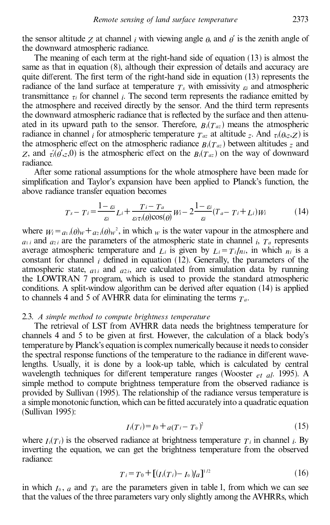the sensor altitude *z* at channel *i* with viewing angle  $\rho$ , and  $\rho'$  is the zenith angle of the downward atmospheric radiance.

The meaning of each term at the right-hand side of equation (13) is almost the same as that in equation (8), although their expression of details and accuracy are quite different. The first term of the right-hand side in equation  $(13)$  represents the radiance of the land surface at temperature  $T_s$  with emissivity  $\epsilon_i$  and atmospheric transmittance  $\tau$ *i* for channel *i*. The second term represents the radiance emitted by the atmosphere and received directly by the sensor. And the third term represents the downward atmospheric radiance that is reflected by the surface and then attenuated in its upward path to the sensor. Therefore,  $B_i(T_{az})$  means the atmospheric radiance in channel *i* for atmospheric temperature  $T_{az}$  at altitude *z*. And  $\tau_i(\theta_{z},Z)$  is the atmospheric effect on the atmospheric radiance  $B_i(T_{az})$  between altitudes  $\bar{z}$  and *Z*, and  $\tau_i(\theta', z, 0)$  is the atmospheric effect on the  $B_i(T_{az})$  on the way of downward  $\ddot{\cdot}$ radiance.

After some rational assumptions for the whole atmosphere have been made for simplification and Taylor's expansion have been applied to Planck's function, the above radiance transfer equation becomes

$$
T_s - T_i = \frac{1 - \varepsilon_i}{\varepsilon_i} L_i + \frac{T_i - T_a}{\varepsilon_i \tau_i(\theta) \cos(\theta)} W_i - 2 \frac{1 - \varepsilon_i}{\varepsilon_i} (T_a - T_i + L_i) W_i \tag{14}
$$

where  $W_i = a_1 i(\theta)w + a_2 i(\theta)w^2$ , in which *w* is the water vapour in the atmosphere and  $a_{1 i}$  and  $a_{2 i}$  are the parameters of the atmospheric state in channel *i*,  $T_a$  represents average atmospheric temperature and  $L_i$  is given by  $L_i = T_i / n_i$ , in which  $n_i$  is a constant for channel  $i$  defined in equation (12). Generally, the parameters of the atmospheric state,  $a_{1i}$  and  $a_{2i}$ , are calculated from simulation data by running the LOWTRAN 7 program, which is used to provide the standard atmospheric conditions. A split-window algorithm can be derived after equation (14) is applied to channels 4 and 5 of AVHRR data for eliminating the terms  $T_a$ .

#### 2.3. *A simple method to compute brightness temperature*

The retrieval of LST from AVHRR data needs the brightness temperature for channels 4 and 5 to be given at first. However, the calculation of a black body's temperature by Planck's equation is complex numerically because it needs to consider the spectral response functions of the temperature to the radiance in different wavelengths. Usually, it is done by a look-up table, which is calculated by central wavelength techniques for different temperature ranges (Wooster  $_{et}$   $_{el}$ , 1995). A simple method to compute brightness temperature from the observed radiance is provided by Sullivan (1995). The relationship of the radiance versus temperature is a simple monotonic function, which can be fitted accurately into a quadratic equation (Sullivan 1995):

$$
I_i(T_i) = I_0 + a(T_i - T_0)^2
$$
\n(15)

where  $I_i(T_i)$  is the observed radiance at brightness temperature  $T_i$  in channel *i*. By inverting the equation, we can get the brightness temperature from the observed radiance:

$$
T_i = T_0 + [(I_i(T_i) - I_0)/a]^{1/2}
$$
\n(16)

in which  $I_0$ ,  $a$  and  $T_0$  are the parameters given in table 1, from which we can see that the values of the three parameters vary only slightly among the AVHRRs, which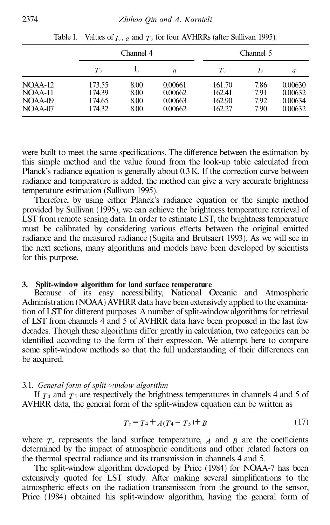|                                                |                                      | Channel 4                    |                                          |                                      | Channel 5                    |                                          |  |
|------------------------------------------------|--------------------------------------|------------------------------|------------------------------------------|--------------------------------------|------------------------------|------------------------------------------|--|
|                                                | T <sub>0</sub>                       | 1ο                           | a                                        | $T_{0}$                              | I <sub>0</sub>               | a                                        |  |
| $NOAA-12$<br>$NOAA-11$<br>$NOAA-09$<br>NOAA-07 | 173.55<br>174.39<br>174.65<br>174.32 | 8.00<br>8.00<br>8.00<br>8.00 | 0.00661<br>0.00662<br>0.00663<br>0.00662 | 161.70<br>162.41<br>162.90<br>162.27 | 7.86<br>7.91<br>7.92<br>7.90 | 0.00630<br>0.00632<br>0.00634<br>0.00632 |  |

Table 1. Values of  $I_0$ ,  $a$  and  $T_0$  for four AVHRRs (after Sullivan 1995).

were built to meet the same specifications. The difference between the estimation by this simple method and the value found from the look-up table calculated from Planck's radiance equation is generally about 0.3K. If the correction curve between radiance and temperature is added, the method can give a very accurate brightness temperature estimation (Sullivan 1995).

Therefore, by using either Planck's radiance equation or the simple method provided by Sullivan (1995), we can achieve the brightness temperature retrieval of LST from remote sensing data. In order to estimate LST, the brightness temperature must be calibrated by considering various effects between the original emitted radiance and the measured radiance (Sugita and Brutsaert 1993). As we will see in the next sections, many algorithms and models have been developed by scientists for this purpose.

## **3. Split-window algorithm for land surface temperature**

Because of its easy accessibility, National Oceanic and Atmospheric Administration (NOAA) AVHRR data have been extensively applied to the examination of LST for different purposes. A number of split-window algorithms for retrieval of LST from channels 4 and 5 of AVHRR data have been proposed in the last few decades. Though these algorithms differ greatly in calculation, two categories can be identified according to the form of their expression. We attempt here to compare some split-window methods so that the full understanding of their differences can be acquired.

### 3.1. *General form of split-window algorithm*

If  $T_4$  and  $T_5$  are respectively the brightness temperatures in channels 4 and 5 of AVHRR data, the general form of the split-window equation can be written as

$$
T_s = T_4 + A(T_4 - T_5) + B \tag{17}
$$

where  $T<sub>s</sub>$  represents the land surface temperature,  $\overline{A}$  and  $\overline{B}$  are the coefficients determined by the impact of atmospheric conditions and other related factors on the thermal spectral radiance and its transmission in channels 4 and 5.

The split-window algorithm developed by Price (1984) for NOAA-7 has been extensively quoted for LST study. After making several simplifications to the atmospheric effects on the radiation transmission from the ground to the sensor, Price (1984) obtained his split-window algorithm, having the general form of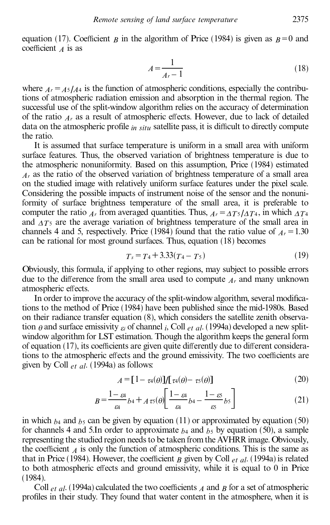equation (17). Coefficient *B* in the algorithm of Price (1984) is given as  $B=0$  and coefficient  $\overline{A}$  is as

$$
A = \frac{1}{A_r - 1} \tag{18}
$$

where  $A<sub>r</sub> = A<sub>5</sub>/A<sub>4</sub>$  is the function of atmospheric conditions, especially the contributions of atmospheric radiation emission and absorption in the thermal region. The successful use of the split-window algorithm relies on the accuracy of determination of the ratio  $A_r$  as a result of atmospheric effects. However, due to lack of detailed data on the atmospheric profile  $_{in\; situ}$  satellite pass, it is difficult to directly compute the ratio.

It is assumed that surface temperature is uniform in a small area with uniform surface features. Thus, the observed variation of brightness temperature is due to the atmospheric nonuniformity. Based on this assumption, Price (1984) estimated *A<sup>r</sup>* as the ratio of the observed variation of brightness temperature of a small area on the studied image with relatively uniform surface features under the pixel scale. Considering the possible impacts of instrument noise of the sensor and the nonuniformity of surface brightness temperature of the small area, it is preferable to computer the ratio  $A_t$  from averaged quantities. Thus,  $A_t = \Delta T_5 / \Delta T_4$ , in which  $\Delta T_4$ and  $\Lambda T_5$  are the average variation of brightness temperature of the small area in channels 4 and 5, respectively. Price (1984) found that the ratio value of  $A<sub>r</sub> = 1.30$ can be rational for most ground surfaces. Thus, equation (18) becomes

$$
T_s = T_4 + 3.33(T_4 - T_5) \tag{19}
$$

Obviously, this formula, if applying to other regions, may subject to possible errors due to the difference from the small area used to compute  $A<sub>r</sub>$  and many unknown atmospheric effects.

In order to improve the accuracy of the split-window algorithm, several modifications to the method of Price (1984) have been published since the mid-1980s. Based on their radiance transfer equation (8), which considers the satellite zenith observation  $\theta$  and surface emissivity  $\varepsilon_i$  of channel *i*, Coll  $_{et}$  *al*. (1994a) developed a new splitwindow algorithm for LST estimation. Though the algorithm keeps the general form of equation  $(17)$ , its coefficients are given quite differently due to different considerations to the atmospheric effects and the ground emissivity. The two coefficients are given by Coll *et al*. (1994a) as follows:

$$
A = [1 - \tau_4(\theta)]/[\tau_4(\theta) - \tau_5(\theta)] \tag{20}
$$

$$
B = \frac{1 - \varepsilon_4}{\varepsilon_4} b_4 + A \tau_5(\theta) \left[ \frac{1 - \varepsilon_4}{\varepsilon_4} b_4 - \frac{1 - \varepsilon_5}{\varepsilon_5} b_5 \right] \tag{21}
$$

in which  $b_4$  and  $b_5$  can be given by equation (11) or approximated by equation (50) for channels 4 and 5.In order to approximate  $b_4$  and  $b_5$  by equation (50), a sample representing the studied region needs to be taken from the AVHRR image. Obviously, the coefficient  $\overline{A}$  is only the function of atmospheric conditions. This is the same as that in Price (1984). However, the coefficient  $B$  given by Coll  $_{et}$   $_{al}$ . (1994a) is related to both atmospheric effects and ground emissivity, while it is equal to  $0$  in Price (1984).

Coll  $_{et}$  *al*. (1994a) calculated the two coefficients *A* and *B* for a set of atmospheric profiles in their study. They found that water content in the atmosphere, when it is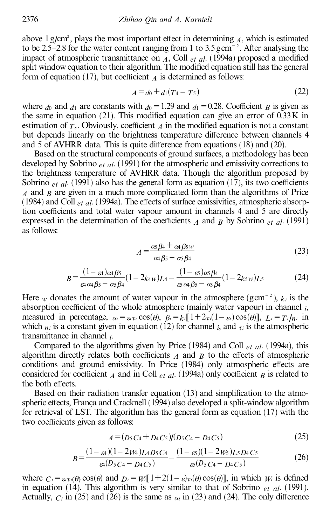above  $1 \text{ g/cm}^2$ , plays the most important effect in determining  $\Lambda$ , which is estimated to be 2.5–2.8 for the water content ranging from 1 to  $3.5 \text{ g cm}^{-2}$ . After analysing the impact of atmospheric transmittance on  $\overline{A}$ , Coll *et al.* (1994a) proposed a modified split window equation to their algorithm. The modified equation still has the general form of equation (17), but coefficient  $\lambda$  is determined as follows:

$$
A = d_0 + d_1(T_4 - T_5) \tag{22}
$$

where  $d_0$  and  $d_1$  are constants with  $d_0 = 1.29$  and  $d_1 = 0.28$ . Coefficient *B* is given as the same in equation (21). This modified equation can give an error of  $0.33K$  in estimation of  $T_s$ . Obviously, coefficient  $\lambda$  in the modified equation is not a constant but depends linearly on the brightness temperature difference between channels 4 and 5 of AVHRR data. This is quite difference from equations  $(18)$  and  $(20)$ .

Based on the structural components of ground surfaces, a methodology has been developed by Sobrino *et al*. (1991) for the atmospheric and emissivity corrections to the brightness temperature of AVHRR data. Though the algorithm proposed by Sobrino  $_{et}$   $_{al}$ . (1991) also has the general form as equation (17), its two coefficients *A* and *B* are given in a much more complicated form than the algorithms of Price (1984) and Coll  $_{et}$   $_{al}$ . (1994a). The effects of surface emissivities, atmospheric absorption coefficients and total water vapour amount in channels 4 and 5 are directly expressed in the determination of the coefficients  $\hat{A}$  and  $\hat{B}$  by Sobrino  $\hat{e}$  *et al.* (1991) as follows:

$$
A = \frac{\alpha s \beta 4 + \alpha 4 \beta s w}{\alpha 4 \beta s - \alpha s \beta 4}
$$
 (23)

$$
B = \frac{(1 - \varepsilon_4)\alpha_4\beta_5}{\varepsilon_4 \alpha_4 \beta_5 - \alpha_5 \beta_4} (1 - 2k_{4W})L_4 - \frac{(1 - \varepsilon_5)\alpha_5\beta_4}{\varepsilon_5 \alpha_4 \beta_5 - \alpha_5 \beta_4} (1 - 2k_{5W})L_5
$$
(24)

Here *w* donates the amount of water vapour in the atmosphere (gcm<sup>-2</sup>),  $k_i$  is the absorption coefficient of the whole atmosphere (mainly water vapour) in channel  $_i$ , measured in percentage,  $\alpha_i = \varepsilon_i \tau_i \cos(\theta)$ ,  $\beta_i = k_i [1 + 2\tau_i(1 - \varepsilon_i) \cos(\theta)]$ ,  $L_i = T_i/n_i$  in which  $n_i$  is a constant given in equation (12) for channel  $i$ , and  $\tau_i$  is the atmospheric transmittance in channel *i* .

Compared to the algorithms given by Price (1984) and Coll *et al*. (1994a), this algorithm directly relates both coefficients  $A$  and  $B$  to the effects of atmospheric conditions and ground emissivity. In Price (1984) only atmospheric effects are considered for coefficient *A* and in Coll *et al.* (1994a) only coefficient *B* is related to the both effects.

Based on their radiation transfer equation  $(13)$  and simplification to the atmospheric effects, França and Cracknell (1994) also developed a split-window algorithm for retrieval of LST. The algorithm has the general form as equation (17) with the two coefficients given as follows:

$$
A = (D_5 C_4 + D_4 C_5) / (D_5 C_4 - D_4 C_5)
$$
\n(25)

$$
B = \frac{(1 - \varepsilon_4)(1 - 2\mu_4)L_4D_5C_4}{\varepsilon_4(D_5C_4 - D_4C_5)} - \frac{(1 - \varepsilon_3)(1 - 2\mu_5)L_5D_4C_5}{\varepsilon_5(D_5C_4 - D_4C_5)}
$$
(26)

where  $C_i = \varepsilon_i \tau_i(\theta) \cos(\theta)$  and  $D_i = W_i[1+2(1-\varepsilon)\tau_i(\theta) \cos(\theta)]$ , in which  $W_i$  is defined in equation (14). This algorithm is very similar to that of Sobrino *et al*. (1991). Actually,  $C_i$  in (25) and (26) is the same as  $\alpha_i$  in (23) and (24). The only difference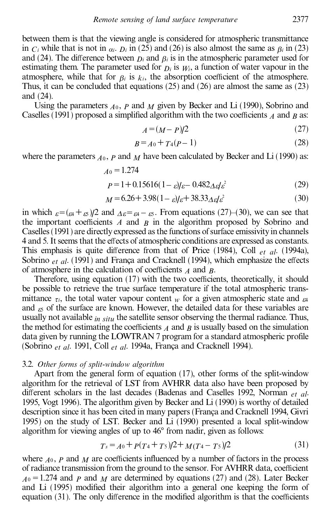between them is that the viewing angle is considered for atmospheric transmittance in  $C_i$  while that is not in  $\alpha_i$ .  $D_i$  in (25) and (26) is also almost the same as  $\beta_i$  in (23) and (24). The difference between  $D_i$  and  $\beta_i$  is in the atmospheric parameter used for estimating them. The parameter used for  $D_i$  is  $W_i$ , a function of water vapour in the atmosphere, while that for  $\beta_i$  is  $k_i$ , the absorption coefficient of the atmosphere. Thus, it can be concluded that equations  $(25)$  and  $(26)$  are almost the same as  $(23)$ and (24).

Using the parameters  $A_0$ ,  $P$  and  $M$  given by Becker and Li (1990), Sobrino and Caselles (1991) proposed a simplified algorithm with the two coefficients  $\hat{A}$  and  $\hat{B}$  as:

$$
A = (M - P)/2 \tag{27}
$$

$$
B = A_0 + T_4(p - 1) \tag{28}
$$

where the parameters  $A_0$ ,  $P$  and  $M$  have been calculated by Becker and Li (1990) as:

$$
A_0 = 1.274
$$
  
 
$$
P = 1 + 0.15616(1 - \varepsilon)/\varepsilon - 0.482\Delta\varepsilon/\varepsilon^2
$$
 (29)

$$
M = 6.26 + 3.98(1 - \varepsilon)/\varepsilon + 38.33\Delta\varepsilon/\varepsilon^2
$$
 (30)

in which  $\varepsilon = (\varepsilon + \varepsilon)/2$  and  $\Delta \varepsilon = \varepsilon + \varepsilon$ . From equations (27)–(30), we can see that the important coefficients  $A$  and  $B$  in the algorithm proposed by Sobrino and Caselles (1991) are directly expressed as the functions of surface emissivity in channels 4 and 5. It seems that the effects of atmospheric conditions are expressed as constants. This emphasis is quite difference from that of Price  $(1984)$ , Coll *et al.*  $(1994a)$ , Sobrino *et al.* (1991) and Franca and Cracknell (1994), which emphasize the effects of atmosphere in the calculation of coefficients  $\vec{A}$  and  $\vec{B}$ .

Therefore, using equation  $(17)$  with the two coefficients, theoretically, it should be possible to retrieve the true surface temperature if the total atmospheric transmittance  $\tau$ *i*, the total water vapour content *w* for a given atmospheric state and  $\epsilon$ 4 and  $\epsilon$ <sub>5</sub> of the surface are known. However, the detailed data for these variables are usually not available *in situ* the satellite sensor observing the thermal radiance. Thus, the method for estimating the coefficients  $\overline{A}$  and  $\overline{B}$  is usually based on the simulation data given by running the LOWTRAN 7 program for a standard atmospheric profile (Sobrino *et al.* 1991, Coll *et al.* 1994a, França and Cracknell 1994).

#### 3.2. *Other forms of split-window algorithm*

Apart from the general form of equation (17), other forms of the split-window algorithm for the retrieval of LST from AVHRR data also have been proposed by different scholars in the last decades (Badenas and Caselles 1992, Norman *et al.*) 1995, Vogt 1996). The algorithm given by Becker and Li (1990) is worthy of detailed description since it has been cited in many papers (França and Cracknell 1994, Givri 1995) on the study of LST. Becker and Li (1990) presented a local split-window algorithm for viewing angles of up to  $46^{\circ}$  from nadir, given as follows:

$$
T_s = A_0 + P(T_4 + T_5)/2 + M(T_4 - T_5)/2
$$
\n(31)

where  $A_0$ ,  $P$  and  $M$  are coefficients influenced by a number of factors in the process of radiance transmission from the ground to the sensor. For AVHRR data, coefficient  $A_0 = 1.274$  and *P* and *M* are determined by equations (27) and (28). Later Becker and Li (1995) modified their algorithm into a general one keeping the form of equation  $(31)$ . The only difference in the modified algorithm is that the coefficients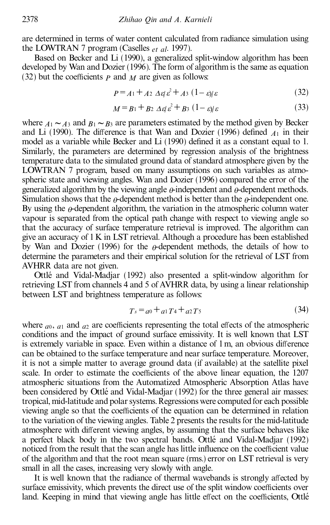are determined in terms of water content calculated from radiance simulation using the LOWTRAN 7 program (Caselles *et al*. 1997).

Based on Becker and Li (1990), a generalized split-window algorithm has been developed by Wan and Dozier (1996). The form of algorithm is the same as equation (32) but the coefficients  $P$  and  $M$  are given as follows:

$$
P = A_1 + A_2 \Delta \varepsilon \varepsilon^2 + A_3 (1 - \varepsilon) \varepsilon \tag{32}
$$

$$
M = B_1 + B_2 \Delta \epsilon_1 \epsilon^2 + B_3 (1 - \epsilon) \epsilon \tag{33}
$$

where  $A_1 \sim A_3$  and  $B_1 \sim B_3$  are parameters estimated by the method given by Becker and Li (1990). The difference is that Wan and Dozier (1996) defined  $A_1$  in their model as a variable while Becker and Li (1990) defined it as a constant equal to 1. Similarly, the parameters are determined by regression analysis of the brightness temperature data to the simulated ground data of standard atmosphere given by the LOWTRAN 7 program, based on many assumptions on such variables as atmospheric state and viewing angles. Wan and Dozier (1996) compared the error of the generalized algorithm by the viewing angle  $\theta$ -independent and  $\theta$ -dependent methods. Simulation shows that the  $\theta$ -dependent method is better than the  $\theta$ -independent one. By using the  $\theta$ -dependent algorithm, the variation in the atmospheric column water vapour is separated from the optical path change with respect to viewing angle so that the accuracy of surface temperature retrieval is improved. The algorithm can give an accuracy of 1K in LST retrieval. Although a procedure has been established by Wan and Dozier (1996) for the  $\rho$ -dependent methods, the details of how to determine the parameters and their empirical solution for the retrieval of LST from AVHRR data are not given.

Ottlé and Vidal-Madjar (1992) also presented a split-window algorithm for retrieving LST from channels 4 and 5 of AVHRR data, by using a linear relationship between LST and brightness temperature as follows:

$$
T_s = a_0 + a_1 T_4 + a_2 T_5 \tag{34}
$$

where  $a_0$ ,  $a_1$  and  $a_2$  are coefficients representing the total effects of the atmospheric conditions and the impact of ground surface emissivity. It is well known that LST is extremely variable in space. Even within a distance of  $1 \text{ m}$ , an obvious difference can be obtained to the surface temperature and near surface temperature. Moreover, it is not a simple matter to average ground data (if available) at the satellite pixel scale. In order to estimate the coefficients of the above linear equation, the 1207 atmospheric situations from the Automatized Atmospheric Absorption Atlas have been considered by Ottlé and Vidal-Madjar (1992) for the three general air masses: tropical, mid-latitude andpolar systems. Regressions were computedfor each possible viewing angle so that the coefficients of the equation can be determined in relation to the variation of the viewing angles. Table 2 presents the results for the mid-latitude atmosphere with different viewing angles, by assuming that the surface behaves like a perfect black body in the two spectral bands. Ottlé and Vidal-Madjar (1992) noticed from the result that the scan angle has little influence on the coefficient value of the algorithm and that the root mean square (rms.) error on LST retrieval is very small in all the cases, increasing very slowly with angle.

It is well known that the radiance of thermal wavebands is strongly affected by surface emissivity, which prevents the direct use of the split window coefficients over land. Keeping in mind that viewing angle has little effect on the coefficients, Ottlé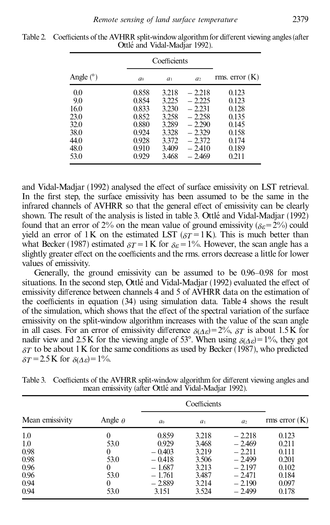|             | Coefficients   |                |                |                 |
|-------------|----------------|----------------|----------------|-----------------|
| Angle $(°)$ | a <sub>0</sub> | a <sub>1</sub> | a <sub>2</sub> | rms. $error(K)$ |
| 0.0         | 0.858          | 3.218          | $-2.218$       | 0.123           |
| 9.0         | 0.854          | 3.225          | $-2.225$       | 0.123           |
| 16.0        | 0.833          | 3.230          | $-2.231$       | 0.128           |
| 23.0        | 0.852          | 3.258          | $-2.258$       | 0.135           |
| 32.0        | 0.880          | 3.289          | $-2.290$       | 0.145           |
| 38.0        | 0.924          | 3.328          | $-2.329$       | 0.158           |
| 44.0        | 0.928          | 3.372          | $-2.372$       | 0.174           |
| 48.0        | 0.910          | 3.409          | $-2.410$       | 0.189           |
| 53.0        | 0.929          | 3.468          | $-2.469$       | 0.211           |

Table 2. Coefficients of the AVHRR split-window algorithm for different viewing angles (after Ottlé and Vidal-Madjar 1992).

and Vidal-Madjar (1992) analysed the effect of surface emissivity on LST retrieval. In the first step, the surface emissivity has been assumed to be the same in the infrared channels of AVHRR so that the general effect of emissivity can be clearly shown. The result of the analysis is listed in table 3. Ottlé and Vidal-Madjar (1992) found that an error of 2% on the mean value of ground emissivity ( $\delta \epsilon$ =2%) could yield an error of 1K on the estimated LST ( $\delta T = 1$ K). This is much better than what Becker (1987) estimated  $\delta T = 1$  K for  $\delta \epsilon = 1$ %. However, the scan angle has a slightly greater effect on the coefficients and the rms. errors decrease a little for lower values of emissivity.

Generally, the ground emissivity can be assumed to be  $0.96-0.98$  for most situations. In the second step, Ottlé and Vidal-Madjar (1992) evaluated the effect of emissivity difference between channels 4 and 5 of AVHRR data on the estimation of the coefficients in equation  $(34)$  using simulation data. Table 4 shows the result of the simulation, which shows that the effect of the spectral variation of the surface emissivity on the split-window algorithm increases with the value of the scan angle in all cases. For an error of emissivity difference  $\delta(A_{\epsilon})=2\%$ ,  $\delta T$  is about 1.5 K for nadir view and 2.5K for the viewing angle of 53°. When using  $\delta(\Delta \varepsilon) = 1\%$ , they got  $\delta T$  to be about 1 K for the same conditions as used by Becker (1987), who predicted  $\delta T = 2.5 \text{ K}$  for  $\delta(A_{\varepsilon}) = 1\%$ .

|                 |                |                | Coefficients   |                |               |  |
|-----------------|----------------|----------------|----------------|----------------|---------------|--|
| Mean emissivity | Angle $\theta$ | a <sub>0</sub> | a <sub>1</sub> | a <sub>2</sub> | rms error (K) |  |
| 1.0             |                | 0.859          | 3.218          | $-2.218$       | 0.123         |  |
| 1.0             | 53.0           | 0.929          | 3.468          | $-2.469$       | 0.211         |  |
| 0.98            | $\theta$       | $-0.403$       | 3.219          | $-2.211$       | 0.111         |  |
| 0.98            | 53.0           | $-0.418$       | 3.506          | $-2.499$       | 0.201         |  |
| 0.96            | $\theta$       | $-1.687$       | 3.213          | $-2.197$       | 0.102         |  |
| 0.96            | 53.0           | $-1.761$       | 3.487          | $-2.471$       | 0.184         |  |
| 0.94            |                | $-2.889$       | 3.214          | $-2.190$       | 0.097         |  |
| 0.94            | 53.0           | 3.151          | 3.524          | $-2.499$       | 0.178         |  |

Table 3. Coefficients of the AVHRR split-window algorithm for different viewing angles and mean emissivity (after Ottlé and Vidal-Madjar 1992).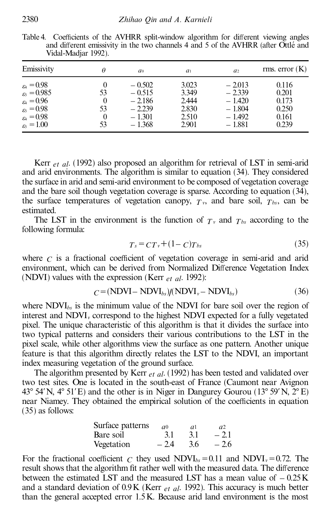|                                                                                                                                                                | 1.4            |                                                                      |                                                    |                                                                      |                                                    |
|----------------------------------------------------------------------------------------------------------------------------------------------------------------|----------------|----------------------------------------------------------------------|----------------------------------------------------|----------------------------------------------------------------------|----------------------------------------------------|
| Emissivity                                                                                                                                                     |                | a <sub>0</sub>                                                       | a <sub>1</sub>                                     | a <sub>2</sub>                                                       | rms. error $(K)$                                   |
| $\varepsilon_4 = 0.98$<br>$\varepsilon_5 = 0.985$<br>$\varepsilon_4 = 0.96$<br>$\varepsilon_{5} = 0.98$<br>$\varepsilon_4 = 0.98$<br>$_{\varepsilon_5} = 1.00$ | 53<br>53<br>53 | $-0.502$<br>$-0.515$<br>$-2.186$<br>$-2.239$<br>$-1.301$<br>$-1.368$ | 3.023<br>3.349<br>2.444<br>2.830<br>2.510<br>2.901 | $-2.013$<br>$-2.339$<br>$-1.420$<br>$-1.804$<br>$-1.492$<br>$-1.881$ | 0.116<br>0.201<br>0.173<br>0.250<br>0.161<br>0.239 |
|                                                                                                                                                                |                |                                                                      |                                                    |                                                                      |                                                    |

Table 4. Coefficients of the AVHRR split-window algorithm for different viewing angles and different emissivity in the two channels 4 and 5 of the AVHRR (after Ottlé and Vidal-Madjar 1992).

Kerr *et al*. (1992) also proposed an algorithm for retrieval of LST in semi-arid and arid environments. The algorithm is similar to equation (34). They considered the surface in arid and semi-arid environment to be composed of vegetation coverage and the bare soil though vegetation coverage is sparse. According to equation (34), the surface temperatures of vegetation canopy,  $T_v$ , and bare soil,  $T_{bs}$ , can be estimated.

The LST in the environment is the function of  $T<sub>v</sub>$  and  $T<sub>bs</sub>$  according to the following formula:

$$
T_s = CT_v + (1 - c)T_{bs} \tag{35}
$$

where  $C$  is a fractional coefficient of vegetation coverage in semi-arid and arid environment, which can be derived from Normalized Difference Vegetation Index (NDVI) values with the expression (Kerr *et al*. 1992):

$$
C = (NDVI - NDVIbs)/(NDVIv - NDVIbs)
$$
\n(36)

where NDVI*bs* is the minimum value of the NDVI for bare soil over the region of interest and NDVI*<sup>v</sup>* correspond to the highest NDVI expected for a fully vegetated pixel. The unique characteristic of this algorithm is that it divides the surface into two typical patterns and considers their various contributions to the LST in the pixel scale, while other algorithms view the surface as one pattern. Another unique feature is that this algorithm directly relates the LST to the NDVI, an important index measuring vegetation of the ground surface.

The algorithm presented by Kerr *et al*. (1992) has been tested and validated over two test sites. One is located in the south-east of France (Caumont near Avignon 43° 54′N, 4° 51′E) and the other is in Niger in Dangurey Gourou (13° 59′N, 2° E) near Niamey. They obtained the empirical solution of the coefficients in equation (35) as follows:

| Surface patterns | a <sub>0</sub> | αl  | a2     |
|------------------|----------------|-----|--------|
| Bare soil        | 3.1            | 3.1 | $-2.1$ |
| Vegetation       | $-2.4$         | 3.6 | $-2.6$ |

For the fractional coefficient *C* they used  $NDVI_{bs} = 0.11$  and  $NDVI_v = 0.72$ . The result shows that the algorithm fit rather well with the measured data. The difference between the estimated LST and the measured LST has a mean value of  $-0.25K$ and a standard deviation of 0.9K (Kerr *et al*. 1992). This accuracy is much better than the general accepted error 1.5K. Because arid land environment is the most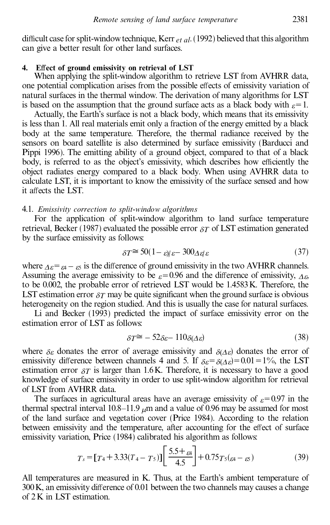difficult case for split-window technique, Kerr *et al.* (1992) believed that this algorithm can give a better result for other land surfaces.

## 4. Effect of ground emissivity on retrieval of LST

When applying the split-window algorithm to retrieve LST from AVHRR data, one potential complication arises from the possible effects of emissivity variation of natural surfaces in the thermal window. The derivation of many algorithms for LST is based on the assumption that the ground surface acts as a black body with  $\varepsilon$ =1.

Actually, the Earth's surface is not a black body, which means that its emissivity is less than 1. All real materials emit only a fraction of the energy emitted by a black body at the same temperature. Therefore, the thermal radiance received by the sensors on board satellite is also determined by surface emissivity (Barducci and Pippi 1996). The emitting ability of a ground object, compared to that of a black body, is referred to as the object's emissivity, which describes how efficiently the object radiates energy compared to a black body. When using AVHRR data to calculate LST, it is important to know the emissivity of the surface sensed and how it affects the LST.

## 4.1. *Emissivity correction to split-window algorithms*

For the application of split-window algorithm to land surface temperature retrieval, Becker (1987) evaluated the possible error  $\delta T$  of LST estimation generated by the surface emissivity as follows:

$$
\delta T \cong 50(1 - \varepsilon)\varepsilon - 300 \Delta \varepsilon \varepsilon \tag{37}
$$

where  $\Delta \varepsilon = \varepsilon_4 - \varepsilon_5$  is the difference of ground emissivity in the two AVHRR channels. Assuming the average emissivity to be  $\varepsilon$ =0.96 and the difference of emissivity,  $\Delta \varepsilon$ , to be 0.002, the probable error of retrieved LST would be 1.4583K. Therefore, the LST estimation error  $\delta T$  may be quite significant when the ground surface is obvious heterogeneity on the region studied. And this is usually the case for natural surfaces.

Li and Becker (1993) predicted the impact of surface emissivity error on the estimation error of LST as follows:

$$
\delta T^{\cong} - 52\delta \varepsilon - 110\delta(\Delta \varepsilon) \tag{38}
$$

where  $\delta \varepsilon$  donates the error of average emissivity and  $\delta(\Delta \varepsilon)$  donates the error of emissivity difference between channels 4 and 5. If  $\delta \varepsilon = \delta(\Delta \varepsilon) = 0.01 = 1\%$ , the LST estimation error  $\delta T$  is larger than 1.6K. Therefore, it is necessary to have a good knowledge of surface emissivity in order to use split-window algorithm for retrieval of LST from AVHRR data.

The surfaces in agricultural areas have an average emissivity of  $\varepsilon$ =0.97 in the thermal spectral interval 10.8 $-11.9 \mu$ m and a value of 0.96 may be assumed for most of the land surface and vegetation cover (Price 1984). According to the relation between emissivity and the temperature, after accounting for the effect of surface emissivity variation, Price (1984) calibrated his algorithm as follows:

$$
T_s = [T_4 + 3.33(T_4 - T_5)] \left[ \frac{5.5 + \beta_4}{4.5} \right] + 0.75T_5(\beta_4 - \beta_5)
$$
 (39)

All temperatures are measured in K. Thus, at the Earth's ambient temperature of  $300K$ , an emissivity difference of 0.01 between the two channels may causes a change of 2K in LST estimation.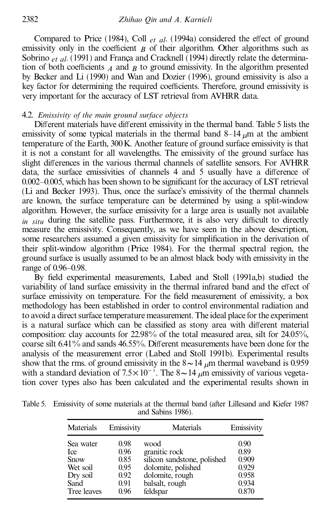Compared to Price (1984), Coll *et al.* (1994a) considered the effect of ground emissivity only in the coefficient  $\beta$  of their algorithm. Other algorithms such as Sobrino *et al.* (1991) and França and Cracknell (1994) directly relate the determination of both coefficients  $\overline{A}$  and  $\overline{B}$  to ground emissivity. In the algorithm presented by Becker and Li (1990) and Wan and Dozier (1996), ground emissivity is also a key factor for determining the required coefficients. Therefore, ground emissivity is very important for the accuracy of LST retrieval from AVHRR data.

### 4.2. *Emissivity of the main ground surface objects*

Different materials have different emissivity in the thermal band. Table 5 lists the emissivity of some typical materials in the thermal band  $8-14 \mu m$  at the ambient temperature of the Earth, 300K. Another feature of ground surface emissivity is that it is not a constant for all wavelengths. The emissivity of the ground surface has slight differences in the various thermal channels of satellite sensors. For AVHRR data, the surface emissivities of channels 4 and 5 usually have a difference of  $0.002 - 0.005$ , which has been shown to be significant for the accuracy of LST retrieval (Li and Becker 1993). Thus, once the surface's emissivity of the thermal channels are known, the surface temperature can be determined by using a split-window algorithm. However, the surface emissivity for a large area is usually not available  $\dot{m}$  *situ* during the satellite pass. Furthermore, it is also very difficult to directly measure the emissivity. Consequently, as we have seen in the above description, some researchers assumed a given emissivity for simplification in the derivation of their split-window algorithm (Price 1984). For the thermal spectral region, the ground surface is usually assumed to be an almost black body with emissivity in the range of  $0.96 - 0.98$ .

By field experimental measurements, Labed and Stoll (1991a,b) studied the variability of land surface emissivity in the thermal infrared band and the effect of surface emissivity on temperature. For the field measurement of emissivity, a box methodology has been established in order to control environmental radiation and to avoid a direct surface temperature measurement. The ideal place for the experiment is a natural surface which can be classified as stony area with different material composition: clay accounts for 22.98% of the total measured area, silt for 24.05%, coarse silt 6.41% and sands 46.55%. Different measurements have been done for the analysis of the measurement error (Labed and Stoll 1991b). Experimental results show that the rms. of ground emissivity in the  $8 \sim 14 \mu m$  thermal waveband is 0.959 with a standard deviation of  $7.5 \times 10^{-3}$ . The  $8 \sim 14 \mu$ m emissivity of various vegetation cover types also has been calculated and the experimental results shown in

| Table 5. Emissivity of some materials at the thermal band (after Lillesand and Kiefer 1987) |  |
|---------------------------------------------------------------------------------------------|--|
| and Sabins 1986).                                                                           |  |

| Materials   | Emissivity | Materials                   | Emissivity |
|-------------|------------|-----------------------------|------------|
| Sea water   | 0.98       | wood                        | 0.90       |
| <b>Ice</b>  | 0.96       | granitic rock               | 0.89       |
| Snow        | 0.85       | silicon sandstone, polished | 0.909      |
| Wet soil    | 0.95       | dolomite, polished          | 0.929      |
| Dry soil    | 0.92       | dolomite, rough             | 0.958      |
| Sand        | 0.91       | balsalt, rough              | 0.934      |
| Tree leaves | 096        | feldspar                    | 0.870      |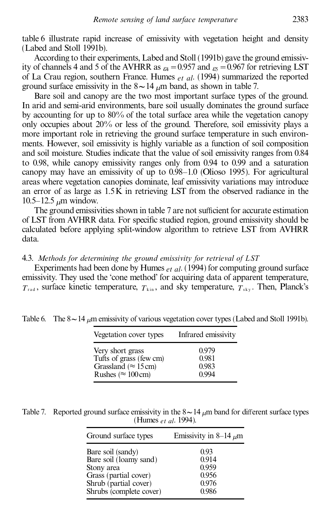table 6 illustrate rapid increase of emissivity with vegetation height and density (Labed and Stoll 1991b).

According to their experiments, Labed and Stoll (1991b) gave the ground emissivity of channels 4 and 5 of the AVHRR as  $_{\text{g}} = 0.957$  and  $_{\text{g}} = 0.967$  for retrieving LST of La Crau region, southern France. Humes *et al*. (1994) summarized the reported ground surface emissivity in the  $8 \sim 14$   $\mu$ m band, as shown in table 7.

Bare soil and canopy are the two most important surface types of the ground. In arid and semi-arid environments, bare soil usually dominates the ground surface by accounting for up to 80% of the total surface area while the vegetation canopy only occupies about 20% or less of the ground. Therefore, soil emissivity plays a more important role in retrieving the ground surface temperature in such environments. However, soil emissivity is highly variable as a function of soil composition and soil moisture. Studies indicate that the value of soil emissivity ranges from 0.84 to 0.98, while canopy emissivity ranges only from 0.94 to 0.99 and a saturation canopy may have an emissivity of up to  $0.98-1.0$  (Olioso 1995). For agricultural areas where vegetation canopies dominate, leaf emissivity variations may introduce an error of as large as 1.5K in retrieving LST from the observed radiance in the  $10.5 - 12.5 \mu m$  window.

The ground emissivities shown in table 7 are not sufficient for accurate estimation of LST from AVHRR data. For specific studied region, ground emissivity should be calculated before applying split-window algorithm to retrieve LST from AVHRR data.

## 4.3. *Methods for determining the ground emissivity for retrieval of LST*

Experiments had been done by Humes *et al*. (1994) for computing ground surface emissivity. They used the 'cone method' for acquiring data of apparent temperature,  $T_{\text{rad}}$ , surface kinetic temperature,  $T_{\text{kin}}$ , and sky temperature,  $T_{\text{sky}}$ . Then, Planck's

| Vegetation cover types       | Infrared emissivity |
|------------------------------|---------------------|
| Very short grass             | 0.979               |
| Tufts of grass (few cm)      | 0.981               |
| Grassland ( $\approx$ 15 cm) | 0.983               |
| Rushes ( $\approx$ 100 cm)   | 0.994               |

Table 6. The  $8 \sim 14$  *um* emissivity of various vegetation cover types (Labed and Stoll 1991b).

| Table 7. Reported ground surface emissivity in the $8 \sim 14 \mu m$ band for different surface types |
|-------------------------------------------------------------------------------------------------------|
| (Humes <i>et al.</i> 1994).                                                                           |

| Ground surface types    | Emissivity in 8–14 $\mu$ m |
|-------------------------|----------------------------|
| Bare soil (sandy)       | 0.93                       |
| Bare soil (loamy sand)  | 0.914                      |
| Stony area              | 0.959                      |
| Grass (partial cover)   | 0.956                      |
| Shrub (partial cover)   | 0.976                      |
| Shrubs (complete cover) | 0.986                      |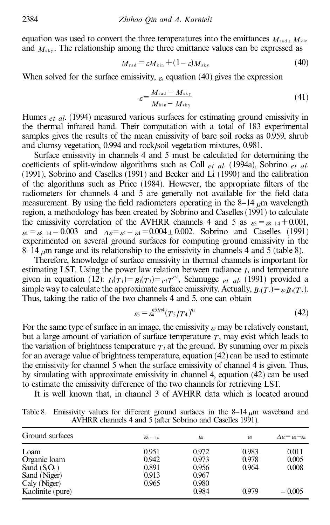equation was used to convert the three temperatures into the emittances  $M_{\text{rad}}$ ,  $M_{\text{kin}}$ and  $M_{\rm sky}$ . The relationship among the three emittance values can be expressed as

$$
M_{\rm rad} = \varepsilon M_{\rm kin} + (1 - \varepsilon) M_{\rm sky} \tag{40}
$$

When solved for the surface emissivity,  $\varepsilon$ , equation (40) gives the expression

$$
\varepsilon = \frac{M_{\text{rad}} - M_{\text{sky}}}{M_{\text{kin}} - M_{\text{sky}}}
$$
(41)

Humes *et al*. (1994) measured various surfaces for estimating ground emissivity in the thermal infrared band. Their computation with a total of 183 experimental samples gives the results of the mean emissivity of bare soil rocks as 0.959, shrub and clumsy vegetation, 0.994 and rock/ soil vegetation mixtures, 0.981.

Surface emissivity in channels 4 and 5 must be calculated for determining the coefficients of split-window algorithms such as Coll *et al.* (1994a), Sobrino *et al.* (1991), Sobrino and Caselles (1991) and Becker and Li (1990) and the calibration of the algorithms such as Price (1984). However, the appropriate filters of the radiometers for channels 4 and  $\overline{5}$  are generally not available for the field data measurement. By using the field radiometers operating in the  $8-14$   $\mu$ m wavelength region, a methodology has been created by Sobrino and Caselles (1991) to calculate the emissivity correlation of the AVHRR channels 4 and 5 as  $\epsilon_5 = \epsilon_{8-14} + 0.001$ ,  $e_4 = e_8 - 14 - 0.003$  and  $\Delta \varepsilon = \varepsilon_5 - \varepsilon_4 = 0.004 \pm 0.002$ . Sobrino and Caselles (1991) experimented on several ground surfaces for computing ground emissivity in the 8<sup>-14</sup> <sub>*u*</sub>m range and its relationship to the emissivity in channels 4 and 5 (table 8).

Therefore, knowledge of surface emissivity in thermal channels is important for estimating LST. Using the power law relation between radiance  $I_i$  and temperature given in equation (12):  $I_i(T_i) = B_i(T_i) = c_i T^{ni}$ , Schmugge *et al.* (1991) provided a simple way to calculate the approximate surface emissivity. Actually,  $B_i(T_i) = \varepsilon_i B_i(T_s)$ . Thus, taking the ratio of the two channels 4 and 5, one can obtain

$$
_{\mathcal{E}5} = \mathcal{E}_4^{n5/n4} (T_5/T_4)^{n5} \tag{42}
$$

For the same type of surface in an image, the emissivity  $\varepsilon_i$  may be relatively constant, but a large amount of variation of surface temperature  $T<sub>s</sub>$  may exist which leads to the variation of brightness temperature  $T_i$  at the ground. By summing over m pixels for an average value of brightness temperature, equation (42) can be used to estimate the emissivity for channel 5 when the surface emissivity of channel 4 is given. Thus, by simulating with approximate emissivity in channel 4, equation (42) can be used to estimate the emissivity difference of the two channels for retrieving LST.

It is well known that, in channel 3 of AVHRR data which is located around

|                 | Table 8. Emissivity values for different ground surfaces in the $8-14 \mu m$ waveband and |                                                           |  |  |  |
|-----------------|-------------------------------------------------------------------------------------------|-----------------------------------------------------------|--|--|--|
|                 |                                                                                           | AVHRR channels 4 and 5 (after Sobrino and Caselles 1991). |  |  |  |
| Ground curfaces |                                                                                           |                                                           |  |  |  |

| Ground surfaces  | $\mathcal{E}_8$ – 14 | $\varepsilon$ | εs    | $\Delta \varepsilon = \varepsilon_5 - \varepsilon_4$ |
|------------------|----------------------|---------------|-------|------------------------------------------------------|
| Loam             | 0.951                | 0.972         | 0.983 | 0.011                                                |
| Organic loam     | 0.942                | 0.973         | 0.978 | 0.005                                                |
| Sand $(S_1O_2)$  | 0.891                | 0.956         | 0.964 | 0.008                                                |
| Sand (Niger)     | 0.913                | 0.967         |       |                                                      |
| Caly (Niger)     | 0.965                | 0.980         |       |                                                      |
| Kaolinite (pure) |                      | 0.984         | 0.979 | $-0.005$                                             |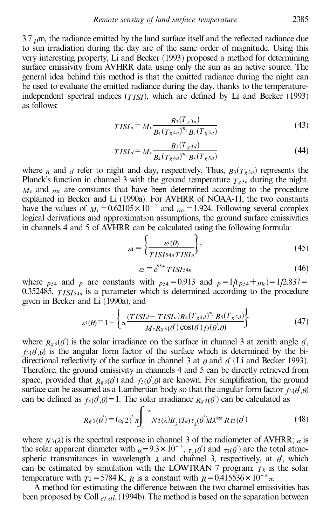$3.7 \mu m$ , the radiance emitted by the land surface itself and the reflected radiance due to sun irradiation during the day are of the same order of magnitude. Using this very interesting property, Li and Becker (1993) proposed a method for determining surface emissivity from AVHRR data using only the sun as an active source. The general idea behind this method is that the emitted radiance during the night can be used to evaluate the emitted radiance during the day, thanks to the temperatureindependent spectral indices  $(TISI)$ , which are defined by Li and Becker (1993) as follows:

$$
TISI_n = Mc \frac{B_3(T_{g3n})}{B_4(T_{g4n})^{m_c} B_5(T_{g5n})}
$$
\n(43)

$$
TISI_d = Mc \frac{B_3(T_{g3d})}{B_4(T_{g4d})^{m_c} B_5(T_{g5d})}
$$
(44)

where *n* and *d* refer to night and day, respectively. Thus,  $B_3(T_g a_n)$  represents the Planck's function in channel 3 with the ground temperature  $T_g$  3*n* during the night. *M<sup>c</sup>* and *m<sup>c</sup>* are constants that have been determined according to the procedure explained in Becker and Li (1990a). For AVHRR of NOAA-11, the two constants have the values of  $M_c = 0.62105 \times 10^{-7}$  and  $m_c = 1.924$ . Following several complex logical derivations and approximation assumptions, the ground surface emissivities in channels 4 and 5 of AVHRR can be calculated using the following formula:

$$
_{\mathcal{B}4} = \left\{ \frac{\mathcal{B}(\theta)}{TISI^{54n}TISI^{n}} \right\}^{2}
$$
 (45)

$$
\varepsilon S = \varepsilon_4^{p54} TISI54n \tag{46}
$$

where  $p_{54}$  and  $p_{54}$  are constants with  $p_{54} = 0.913$  and  $p = 1/(p_{54} + m_c) = 1/2.837 =$ 0.352485,  $TISI_{54n}$  is a parameter which is determined according to the procedure given in Becker and Li (1990a), and

$$
\varepsilon(\theta) = 1 - \left\{ \pi \frac{(TISId - TISI_n)B4(T_{g4d})^{m_c} B5(T_{g5d})}{M_c R_g 3(\theta') \cos(\theta') f3(\theta', \theta)} \right\}
$$
(47)

where  $R_{g3}(\theta')$  is the solar irradiance on the surface in channel 3 at zenith angle  $\theta'$ ,  $f_3(\theta', \theta)$  is the angular form factor of the surface which is determined by the bidirectional reflectivity of the surface in channel 3 at  $\theta$  and  $\theta'$  (Li and Becker 1993). Therefore, the ground emissivity in channels 4 and 5 can be directly retrieved from space, provided that  $R_{g3}(\theta')$  and  $f3(\theta', \theta)$  are known. For simplification, the ground surface can be assumed as a Lambertian body so that the angular form factor  $f_3(\theta',\theta)$ can be defined as  $f_3(\theta, \theta) = 1$ . The solar irradiance  $R_g(\theta)$  can be calculated as

$$
R_{g3}(\theta') = (\alpha/2)^2 \pi \int_0^\infty N_3(\lambda) B_\lambda(T_k) \tau_\lambda(\theta') d\lambda \cong R \tau_3(\theta')
$$
 (48)

where  $N_3(\lambda)$  is the spectral response in channel 3 of the radiometer of AVHRR;  $\alpha$  is the solar apparent diameter with  $\alpha = 9.3 \times 10^{-3}$ ,  $\tau_1(\theta)$  and  $\tau_3(\theta)$  are the total atmospheric transmitances in wavelength  $\lambda$  and channel 3, respectively, at  $\theta'$ , which can be estimated by simulation with the LOWTRAN 7 program;  $T_k$  is the solar temperature with  $T_k = 5784$  K; *R* is a constant with  $R = 0.415536 \times 10^{-6}$   $\pi$ .

A method for estimating the difference between the two channel emissivities has been proposed by Coll *et al*. (1994b). The method is based on the separation between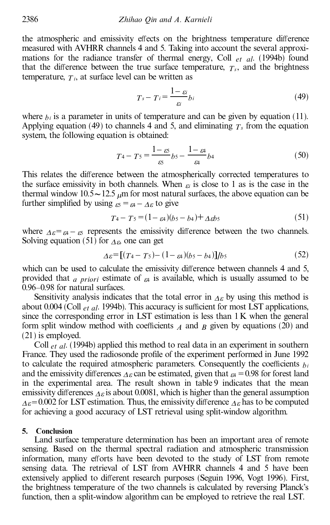the atmospheric and emissivity effects on the brightness temperature difference measured with AVHRR channels 4 and 5. Taking into account the several approximations for the radiance transfer of thermal energy, Coll *et al*. (1994b) found that the difference between the true surface temperature,  $T_s$ , and the brightness temperature,  $T_i$ , at surface level can be written as

$$
T_s - T_i = \frac{1 - \varepsilon_i}{\varepsilon_i} b_i \tag{49}
$$

where  $b_i$  is a parameter in units of temperature and can be given by equation (11). Applying equation (49) to channels 4 and 5, and eliminating  $T<sub>s</sub>$  from the equation system, the following equation is obtained:

$$
T_4 - T_5 = \frac{1 - \varepsilon}{\varepsilon_5} b_5 - \frac{1 - \varepsilon_4}{\varepsilon_4} b_4 \tag{50}
$$

This relates the difference between the atmospherically corrected temperatures to the surface emissivity in both channels. When  $e_i$  is close to 1 as is the case in the thermal window  $10.5 \sim 12.5$   $\mu$ m for most natural surfaces, the above equation can be further simplified by using  $\epsilon_5 = \epsilon_4 - \lambda \epsilon$  to give

$$
T_4 - T_5 = (1 - \varepsilon_4)(b_5 - b_4) + \Delta \varepsilon_5 \tag{51}
$$

where  $\Delta \varepsilon = \varepsilon_4 - \varepsilon_5$  represents the emissivity difference between the two channels. Solving equation (51) for  $\Lambda_{\epsilon}$  one can get

$$
\Delta \varepsilon = \left[ (T_4 - T_5) - (1 - \varepsilon_4)(b_5 - b_4) \right] / b_5 \tag{52}
$$

which can be used to calculate the emissivity difference between channels 4 and 5, provided that *a priori* estimate of *e*<sup>4</sup> is available, which is usually assumed to be 0.96-0.98 for natural surfaces.

Sensitivity analysis indicates that the total error in  $\Delta \varepsilon$  by using this method is about  $0.004$  (Coll  $_{et}$  *al.* 1994b). This accuracy is sufficient for most LST applications, since the corresponding error in LST estimation is less than 1K when the general form split window method with coefficients  $\overline{A}$  and  $\overline{B}$  given by equations (20) and (21) is employed.

Coll *et al*. (1994b) applied this method to real data in an experiment in southern France. They used the radiosonde profile of the experiment performed in June 1992 to calculate the required atmospheric parameters. Consequently the coefficients  $b_i$ and the emissivity differences  $\Lambda_{\epsilon}$  can be estimated, given that  $\epsilon_{4} = 0.98$  for forest land in the experimental area. The result shown in table 9 indicates that the mean emissivity differences  $\Delta \varepsilon$  is about 0.0081, which is higher than the general assumption  $\Delta \varepsilon$ =0.002 for LST estimation. Thus, the emissivity difference  $\Delta \varepsilon$  has to be computed for achieving a good accuracy of LST retrieval using split-window algorithm.

### **5. Conclusion**

Land surface temperature determination has been an important area of remote sensing. Based on the thermal spectral radiation and atmospheric transmission information, many efforts have been devoted to the study of LST from remote sensing data. The retrieval of LST from AVHRR channels 4 and 5 have been extensively applied to different research purposes (Seguin 1996, Vogt 1996). First, the brightness temperature of the two channels is calculated by reversing Planck's function, then a split-window algorithm can be employed to retrieve the real LST.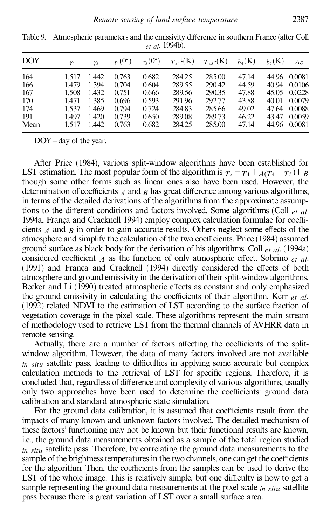| <b>DOY</b> | $\gamma_4$ | $\gamma_5$ | $\tau_4(0^\circ)$ | $\tau_5(0^\circ)$ | $T_{a4} \sqrt[k]{\text{K}}$ | $T_{\mathrm{a5}}\mathrm{^4(K)}$ | $b_4(K)$ | $h_5(K)$ | Δε           |
|------------|------------|------------|-------------------|-------------------|-----------------------------|---------------------------------|----------|----------|--------------|
| 164        | 1.517      | 1.442      | 0.763             | 0.682             | 284.25                      | 285.00                          | 47.14    |          | 44.96 0.0081 |
| 166        | 1.479      | 1.394      | 0.704             | 0.604             | 289.55                      | 290.42                          | 44.59    |          | 40.94 0.0106 |
| 167        | 1.508      | 1.432      | 0.751             | 0.666             | 289.56                      | 290.35                          | 47.88    |          | 45.05 0.0228 |
| 170        | 1.471      | 1.385      | 0.696             | 0.593             | 291.96                      | 292.77                          | 43.88    |          | 40.01 0.0079 |
| 174        | 1.537      | 1.469      | 0.794             | 0.724             | 284.83                      | 285.66                          | 49.02    |          | 47.64 0.0088 |
| 191        | 1.497      | 1.420      | 0.739             | 0.650             | 289.08                      | 289.73                          | 46.22    | 43.47    | 0.0059       |
| Mean       | 1.517      | 1.442      | 0.763             | 0.682             | 284.25                      | 285.00                          | 47.14    |          | 44.96 0.0081 |

Table 9. Atmospheric parameters and the emissivity difference in southern France (after Coll *et al*. 1994b).

DOY=day of the year.

After Price (1984), various split-window algorithms have been established for LST estimation. The most popular form of the algorithm is  $T_s = T_4 + A(T_4 - T_5) + B$ though some other forms such as linear ones also have been used. However, the determination of coefficients  $\overline{A}$  and  $\overline{B}$  has great difference among various algorithms, in terms of the detailed derivations of the algorithms from the approximate assumptions to the different conditions and factors involved. Some algorithms (Coll *et al.*) 1994a, Franca and Cracknell 1994) employ complex calculation formulae for coefficients  $\hat{A}$  and  $\hat{B}$  in order to gain accurate results. Others neglect some effects of the atmosphere and simplify the calculation of the two coefficients. Price (1984) assumed ground surface as black body for the derivation of his algorithms. Coll *et al*. (1994a) considered coefficient  $\hat{A}$  as the function of only atmospheric effect. Sobrino  $et \hat{a}l$ .  $(1991)$  and Franca and Cracknell  $(1994)$  directly considered the effects of both atmosphere and ground emissivity in the derivation of their split-window algorithms. Becker and Li (1990) treated atmospheric effects as constant and only emphasized the ground emissivity in calculating the coefficients of their algorithm. Kerr  $_{et}$   $_{al}$ . (1992) related NDVI to the estimation of LST according to the surface fraction of vegetation coverage in the pixel scale. These algorithms represent the main stream of methodology used to retrieve LST from the thermal channels of AVHRR data in remote sensing.

Actually, there are a number of factors affecting the coefficients of the splitwindow algorithm. However, the data of many factors involved are not available *in situ* satellite pass, leading to difficulties in applying some accurate but complex calculation methods to the retrieval of LST for specific regions. Therefore, it is concluded that, regardless of difference and complexity of various algorithms, usually only two approaches have been used to determine the coefficients: ground data calibration and standard atmospheric state simulation.

For the ground data calibration, it is assumed that coefficients result from the impacts of many known and unknown factors involved. The detailed mechanism of these factors' functioning may not be known but their functional results are known, i.e., the ground data measurements obtained as a sample of the total region studied *in situ* satellite pass. Therefore, by correlating the ground data measurements to the sample of the brightness temperatures in the two channels, one can get the coefficients for the algorithm. Then, the coefficients from the samples can be used to derive the LST of the whole image. This is relatively simple, but one difficulty is how to get a sample representing the ground data measurements at the pixel scale *in situ* satellite pass because there is great variation of LST over a small surface area.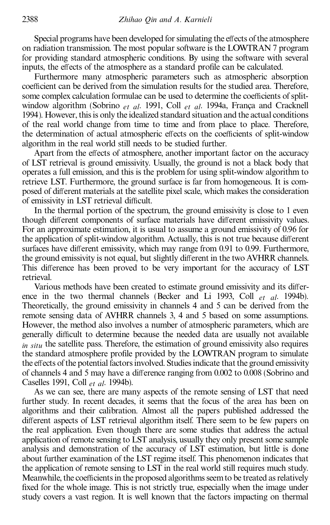Special programs have been developed for simulating the effects of the atmosphere on radiation transmission. The most popular software is the LOWTRAN 7 program for providing standard atmospheric conditions. By using the software with several inputs, the effects of the atmosphere as a standard profile can be calculated.

Furthermore many atmospheric parameters such as atmospheric absorption coefficient can be derived from the simulation results for the studied area. Therefore, some complex calculation formulae can be used to determine the coefficients of splitwindow algorithm (Sobrino *et al.* 1991, Coll *et al.* 1994a, França and Cracknell 1994). However, this is only the idealized standard situation and the actual conditions of the real world change from time to time and from place to place. Therefore, the determination of actual atmospheric effects on the coefficients of split-window algorithm in the real world still needs to be studied further.

Apart from the effects of atmosphere, another important factor on the accuracy of LST retrieval is ground emissivity. Usually, the ground is not a black body that operates a full emission, and this is the problem for using split-window algorithm to retrieve LST. Furthermore, the ground surface is far from homogeneous. It is composed of different materials at the satellite pixel scale, which makes the consideration of emissivity in LST retrieval difficult.

In the thermal portion of the spectrum, the ground emissivity is close to 1 even though different components of surface materials have different emissivity values. For an approximate estimation, it is usual to assume a ground emissivity of 0.96 for the application of split-window algorithm. Actually, this is not true because different surfaces have different emissivity, which may range from 0.91 to 0.99. Furthermore, the ground emissivity is not equal, but slightly different in the two AVHRR channels. This difference has been proved to be very important for the accuracy of LST retrieval.

Various methods have been created to estimate ground emissivity and its difference in the two thermal channels (Becker and Li 1993, Coll *et al*. 1994b). Theoretically, the ground emissivity in channels 4 and 5 can be derived from the remote sensing data of AVHRR channels 3, 4 and 5 based on some assumptions. However, the method also involves a number of atmospheric parameters, which are generally difficult to determine because the needed data are usually not available *in situ* the satellite pass. Therefore, the estimation of ground emissivity also requires the standard atmosphere profile provided by the LOWTRAN program to simulate the effects of the potential factors involved. Studies indicate that the ground emissivity of channels 4 and 5 may have a difference ranging from 0.002 to 0.008 (Sobrino and Caselles 1991, Coll *et al*. 1994b).

As we can see, there are many aspects of the remote sensing of LST that need further study. In recent decades, it seems that the focus of the area has been on algorithms and their calibration. Almost all the papers published addressed the different aspects of LST retrieval algorithm itself. There seem to be few papers on the real application. Even though there are some studies that address the actual application of remote sensing to LST analysis, usually they only present some sample analysis and demonstration of the accuracy of LST estimation, but little is done about further examination of the LST regime itself. This phenomenon indicates that the application of remote sensing to LST in the real world still requires much study. Meanwhile, the coefficients in the proposed algorithms seem to be treated as relatively fixed for the whole image. This is not strictly true, especially when the image under study covers a vast region. It is well known that the factors impacting on thermal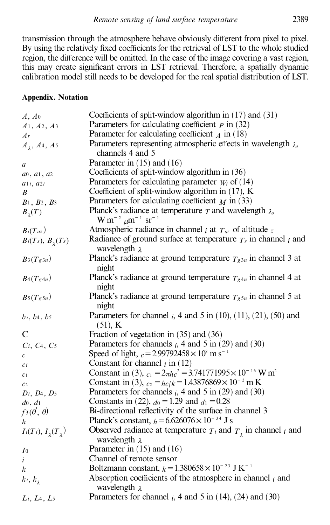transmission through the atmosphere behave obviously different from pixel to pixel. By using the relatively fixed coefficients for the retrieval of LST to the whole studied region, the difference will be omitted. In the case of the image covering a vast region, this may create significant errors in LST retrieval. Therefore, a spatially dynamic calibration model still needs to be developed for the real spatial distribution of LST.

## **Appendix. Notation**

| A, A0                     | Coefficients of split-window algorithm in $(17)$ and $(31)$                                     |
|---------------------------|-------------------------------------------------------------------------------------------------|
| $A_1, A_2, A_3$           | Parameters for calculating coefficient $p$ in (32)                                              |
| Ar                        | Parameter for calculating coefficient $\chi$ in (18)                                            |
| $A_1, A_4, A_5$           | Parameters representing atmospheric effects in wavelength $\lambda$ ,                           |
|                           | channels 4 and 5                                                                                |
| $\boldsymbol{a}$          | Parameter in $(15)$ and $(16)$                                                                  |
| $a_0, a_1, a_2$           | Coefficients of split-window algorithm in (36)                                                  |
| a1i, a2i                  | Parameters for calculating parameter $W_i$ of (14)                                              |
| B                         | Coefficient of split-window algorithm in $(17)$ , K                                             |
| $B_1, B_2, B_3$           | Parameters for calculating coefficient $M$ in (33)                                              |
| $B_{\lambda}(T)$          | Planck's radiance at temperature $T$ and wavelength $\lambda$ ,                                 |
|                           | $W m^{-2} \mu m^{-1} sr^{-1}$                                                                   |
| $B_i(T_{az})$             | Atmospheric radiance in channel <i>i</i> at $T_{az}$ of altitude z                              |
| $B_i(T_s)$ , $B_i(T_s)$   | Radiance of ground surface at temperature $T_s$ in channel <i>i</i> and<br>wavelength $\lambda$ |
| $B_3(T_g3_n)$             | Planck's radiance at ground temperature $T_{g3n}$ in channel 3 at<br>night                      |
| $B_4(Tg4n)$               | Planck's radiance at ground temperature $T_{g4n}$ in channel 4 at<br>night                      |
| $B_5(T_g5_n)$             | Planck's radiance at ground temperature $T_{g5n}$ in channel 5 at<br>night                      |
| $b_i$ , $b_4$ , $b_5$     | Parameters for channel $_i$ , 4 and 5 in (10), (11), (21), (50) and<br>$(51)$ , K               |
| C                         | Fraction of vegetation in $(35)$ and $(36)$                                                     |
| $C_i, C_4, C_5$           | Parameters for channels $_i$ , 4 and 5 in (29) and (30)                                         |
| $\mathfrak c$             | Speed of light, $c = 2.99792458 \times 10^8$ m s <sup>-1</sup>                                  |
| $\mathfrak{c}$ i          | Constant for channel $_i$ in (12)                                                               |
| C <sub>1</sub>            | Constant in (3), $c_1 = 2\pi h c^2 = 3.741771995 \times 10^{-16}$ W m <sup>2</sup>              |
| C <sub>2</sub>            | Constant in (3), $c_2 = hc/k = 1.43876869 \times 10^{-2}$ m K                                   |
| $D_i$ , $D_4$ , $D_5$     | Parameters for channels $_i$ , 4 and 5 in (29) and (30)                                         |
| $d_0, d_1$                | Constants in (22), $d_0 = 1.29$ and $d_1 = 0.28$                                                |
| $f$ 3 $(\theta', \theta)$ | Bi-directional reflectivity of the surface in channel 3                                         |
| $\boldsymbol{h}$          | Planck's constant, $h = 6.626076 \times 10^{-34}$ J s                                           |
| $I_i(T_i), I_1(T_2)$      | Observed radiance at temperature $T_i$ and $T_i$ in channel i and<br>wavelength $\lambda$       |
| I <sub>0</sub>            | Parameter in $(15)$ and $(16)$                                                                  |
| $\dot{i}$                 | Channel of remote sensor                                                                        |
| k                         | Boltzmann constant, $k = 1.380658 \times 10^{-23}$ J K <sup>-1</sup>                            |
| $k_i, k_{\lambda}$        | Absorption coefficients of the atmosphere in channel $_i$ and                                   |
|                           | wavelength $\lambda$                                                                            |
| Li, L4, L5                | Parameters for channel $_i$ , 4 and 5 in (14), (24) and (30)                                    |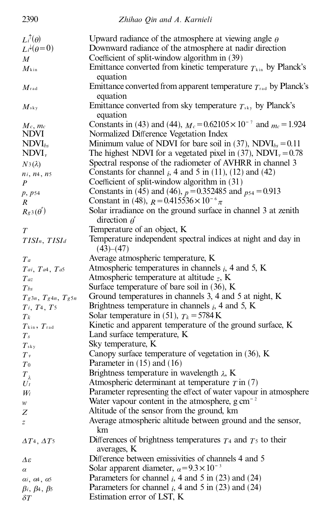| 2390                               | Zhihao Qin and A. Karnieli                                                     |
|------------------------------------|--------------------------------------------------------------------------------|
| $L_i^{\uparrow}(\theta)$           | Upward radiance of the atmosphere at viewing angle $\theta$                    |
| $Li^{\downarrow}(\theta=0)$        | Downward radiance of the atmosphere at nadir direction                         |
| M                                  | Coefficient of split-window algorithm in (39)                                  |
| $M_{\rm kin}$                      | Emittance converted from kinetic temperature $T_{kin}$ by Planck's             |
|                                    | equation                                                                       |
| $M_{\rm rad}$                      | Emittance converted from apparent temperature $T_{rad}$ by Planck's            |
|                                    | equation                                                                       |
| $M_{\rm sky}$                      | Emittance converted from sky temperature $T_{\rm sky}$ by Planck's             |
|                                    | equation                                                                       |
| $M_c$ , $mc$                       | Constants in (43) and (44), $M_c = 0.62105 \times 10^{-7}$ and $m_c = 1.924$   |
| <b>NDVI</b>                        | Normalized Difference Vegetation Index                                         |
| $NDVI_{bs}$                        | Minimum value of NDVI for bare soil in (37), NDVI <sub>bs</sub> = 0.11         |
| $NDVI_{v}$                         | The highest NDVI for a vegetated pixel in (37), NDVI <sub>v</sub> = $0.78$     |
| $N3(\lambda)$                      | Spectral response of the radiometer of AVHRR in channel 3                      |
| $n_i$ , $n_4$ , $n_5$              | Constants for channel $i$ , 4 and 5 in (11), (12) and (42)                     |
| $\boldsymbol{P}$                   | Coefficient of split-window algorithm in (31)                                  |
| p, p54                             | Constants in (45) and (46), $p = 0.352485$ and $p_{54} = 0.913$                |
| R                                  | Constant in (48), $R = 0.415536 \times 10^{-6} \pi$                            |
| $R_{g3}(\theta')$                  | Solar irradiance on the ground surface in channel 3 at zenith                  |
|                                    | direction $\theta'$                                                            |
| T                                  | Temperature of an object, K                                                    |
| TISIn, TISId                       | Temperature independent spectral indices at night and day in                   |
|                                    | (43)–(47)                                                                      |
| Ta                                 | Average atmospheric temperature, K                                             |
| Tai, Ta4, Ta5                      | Atmospheric temperatures in channels $_i$ , 4 and 5, K                         |
| $T$ az                             | Atmospheric temperature at altitude $_z$ , K                                   |
| $T_{bs}$                           | Surface temperature of bare soil in $(36)$ , K                                 |
| $T_g$ 3n, $T_g$ 4n, $T_g$ 5n       | Ground temperatures in channels 3, 4 and 5 at night, K                         |
| $T_i$ , $T_4$ , $T_5$              | Brightness temperature in channels $_i$ , 4 and 5, K                           |
| $T_{k}$                            | Solar temperature in (51), $T_k = 5784 \text{ K}$                              |
| $T_{\rm kin}$ , $T_{\rm rad}$      | Kinetic and apparent temperature of the ground surface, K                      |
| $T_{s}$                            | Land surface temperature, K                                                    |
| $T_{\rm sky}$                      | Sky temperature, K                                                             |
| $T_{v}$                            | Canopy surface temperature of vegetation in (36), K                            |
| $T_{0}$                            | Parameter in $(15)$ and $(16)$                                                 |
| $T_{\lambda}$                      | Brightness temperature in wavelength $\lambda$ , K                             |
| $U_t$                              | Atmospheric determinant at temperature $T$ in (7)                              |
| $W_i$                              | Parameter representing the effect of water vapour in atmosphere                |
| w                                  | Water vapour content in the atmosphere, $g \text{ cm}^{-2}$                    |
| Ζ                                  | Altitude of the sensor from the ground, km                                     |
| z                                  | Average atmospheric altitude between ground and the sensor,<br>km              |
| $\Delta T_4, \Delta T_5$           | Differences of brightness temperatures $T_4$ and $T_5$ to their<br>averages, K |
| Δε                                 | Difference between emissivities of channels 4 and 5                            |
| $\alpha$                           | Solar apparent diameter, $\alpha = 9.3 \times 10^{-3}$                         |
| $\alpha$ i, $\alpha$ 4, $\alpha$ 5 | Parameters for channel $_i$ , 4 and 5 in (23) and (24)                         |
| $\beta$ i, $\beta$ 4, $\beta$ 5    | Parameters for channel $i$ , 4 and 5 in (23) and (24)                          |
| $\delta T$                         | Estimation error of LST, K                                                     |
|                                    |                                                                                |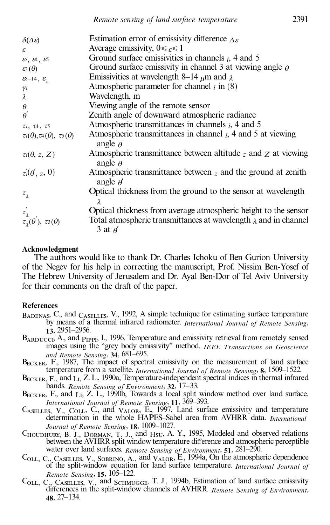| $\delta(\Delta \varepsilon)$                      | Estimation error of emissivity difference $\Delta \varepsilon$                            |
|---------------------------------------------------|-------------------------------------------------------------------------------------------|
| ε                                                 | Average emissivity, $0 \leq \epsilon \leq 1$                                              |
| $\varepsilon$ i, $\varepsilon$ 4, $\varepsilon$ 5 | Ground surface emissivities in channels $i$ , 4 and 5                                     |
| $\varepsilon\!\!\:\!3(\theta)$                    | Ground surface emissivity in channel 3 at viewing angle $\theta$                          |
| $\epsilon$ 8-14, $\epsilon$ <sub>1</sub>          | Emissivities at wavelength 8–14 $\mu$ m and $\lambda$                                     |
| γi                                                | Atmospheric parameter for channel $_i$ in (8)                                             |
| λ                                                 | Wavelength, m                                                                             |
| $\theta$                                          | Viewing angle of the remote sensor                                                        |
| $\theta$ <sup>'</sup>                             | Zenith angle of downward atmospheric radiance                                             |
| $\tau_i$ , $\tau_4$ , $\tau_5$                    | Atmospheric transmittances in channels $i$ , 4 and 5                                      |
| $\tau_i(\theta), \tau_4(\theta), \tau_5(\theta)$  | Atmospheric transmittances in channel $i$ , 4 and 5 at viewing<br>angle $\theta$          |
| $\tau \in (\theta, z, Z)$                         | Atmospheric transmittance between altitude $z$ and $z$ at viewing<br>angle $\theta$       |
| $\tau_i(\theta', z, 0)$                           | Atmospheric transmittance between $z$ and the ground at zenith<br>angle $\theta'$         |
| $\tau_{\lambda}$                                  | Optical thickness from the ground to the sensor at wavelength                             |
| $\tau'_{\lambda}$                                 | Optical thickness from average atmospheric height to the sensor                           |
| $\tau_{1}(\theta), \tau_{3}(\theta)$              | Total atmospheric transmittances at wavelength $\lambda$ and in channel<br>3 at $\theta'$ |

#### **Acknowledgment**

The authors would like to thank Dr. Charles Ichoku of Ben Gurion University of the Negev for his help in correcting the manuscript, Prof. Nissim Ben-Yosef of The Hebrew University of Jerusalem and Dr. Ayal Ben-Dor of Tel Aviv University for their comments on the draft of the paper.

#### **References**

- BADENAS, C., and CASELLES, V., 1992, A simple technique for estimating surface temperature by means of a thermal infrared radiometer. *International Journal of Remote Sensing*, **13**, 2951–2956.
- BARDUCCI, A., and PIPPI, I., 1996, Temperature and emissivity retrieval from remotely sensed images using the "grey body emissivity" method. *IEEE Transactions on Geoscience* and Remote Sensing, 34, 681-695.
- BECKER, F., 1987, The impact of spectral emissivity on the measurement of land surface temperature from a satellite. *International Journal of Remote Sensing*, 8, 1509-1522.
- BECKER, F., and LI, Z. L., 1990a, Temperature-independent spectral indices in thermal infrared bands. *Remote Sensing of Environment*, 32, 17-33.
- $B_{\text{ECKER}}$ , F., and  $L_I$ , Z. L., 1990b, Towards a local split window method over land surface. *International Journal of Remote Sensing*, **11**, 369–393.
- $C_{ASELLES}$ , V., Co<sub>ll</sub>, C., and  $V_{ALOR}$ , E., 1997, Land surface emissivity and temperature determination in the whole HAPES-Sahel area from AVHRR data. *International* Journal of Remote Sensing, 18, 1009-1027.
- Choudhury, B. J., Dorman, T. J., and Hsu, A. Y., 1995, Modeled and observed relations between the AVHRR split window temperature difference and atmospheric perceptible water over land surfaces. *Remote Sensing of Environment*, **51**, 281–290.
- C<sub>OLL, C., CASELLES,</sub> V., SOBRINO, A., and VALOR, E., 1994a, On the atmospheric dependence of the split-window equation for land surface temperature. *International Journal of Remote Sensing*, **15**, 105–122.
- C<sub>OLL, C., CASELLES, V.,</sub> and S<sub>CHMUGGE</sub>, T. J., 1994b, Estimation of land surface emissivity dierences in the split-window channels of AVHRR. *Remote Sensing of Environment*, **48**, 27–134.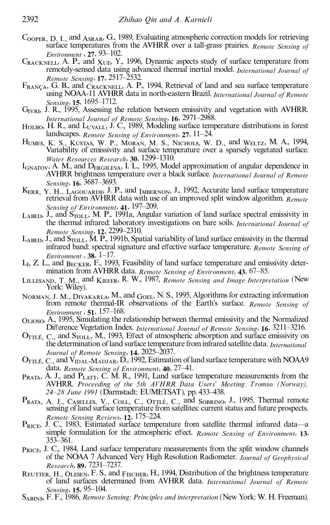- COOPER, D. I., and ASRAR, G., 1989, Evaluating atmospheric correction models for retrieving surface temperatures from the AVHRR over a tall-grass prairies. *Remote Sensing of Environment* , 27, 93-102.
- $C_{\text{RACKNEL}}$ , A. P., and  $X_{\text{UE}}$ , Y., 1996, Dynamic aspects study of surface temperature from remotely-sensed data using advanced thermal inertial model. *International Journal of Remote Sensing*, 17, 2517-2532.
- $F_{RANÇA}$ , G. B., and  $\check{C}_{RACKNELL}$ , A. P., 1994, Retrieval of land and sea surface temperature using NOAA-11 AVHRR data in north-eastern Brazil. *International Journal of Remote Sensing*, **15**, 1695–1712.
- G<sub>IVRI</sub>, J. R., 1995, Assessing the relation between emissivity and vegetation with AVHRR. *International Journal of Remote Sensing*, **16**, 2971–2988.
- HOLBO, H. R., and L<sub>UVALL</sub>, J. C., 1989, Modeling surface temperature distributions in forest landscapes. *Remote Sensing of Environment*, 27, 11–24.
- Humes, K. S., Kustas, W. P., Moran, M. S., Nichols, W. D., and Weltz, M. A., 1994, Variability of emissivity and surface temperature over a sparsely vegetated surface. *Water Resources Research*, **30**, 1299–1310.
- I<sub>GNATOV</sub>, A. M., and D<sub>ERGILEVA</sub>, I. L., 1995, Model approximation of angular dependence in AVHRR brightness temperature over a black surface. *International Journal of Remote* Sensing, **16**, 3687-3693.
- K<sub>ERR, Y. H., LAGOUARDE</sub>, J. P., and <sub>IMBERNON</sub>, J., 1992, Accurate land surface temperature retrieval from AVHRR data with use of an improved split window algorithm. *Remote Sensing of Environment*, **41**, 197–209.
- $L_{ABED}$ , J., and  $S_{TOLL}$ , M. P., 1991a, Angular variation of land surface spectral emissivity in the thermal infrared: laboratory investigations on bare soils. *International Journal of Remote Sensing*, 12, 2299-2310.
- $L_{\text{A}\text{RED}}$ , J., and  $S_{\text{TOLI}}$ , M. P., 1991b, Spatial variability of land surface emissivity in the thermal infrared band: spectral signature and effective surface temperature. *Remote Sensing of Environment* , **38**,  $1-17$ .
- Li , Z. L., and Becker, F., 1993, Feasibility of land surface temperature and emissivity determination from AVHRR data. *Remote Sensing of Environment*, 43, 67-85.
- Lillesand, T. M., and Kiefer, R. W., 1987, *Remote Sensing and Image Interpretation* (New York: Wiley).
- NORMAN, J. M., DIVAKARLA, M., and GOEL, N. S., 1995, Algorithms for extracting information from remote thermal-IR observations of the Earth's surface. *Remote Sensing of Environment* , **51**, 157-168.
- Olioso, A., 1995, Simulating the relationship between thermal emissivity and the Normalized Difference Vegetation Index. *International Journal of Remote Sensing*, 16, 3211-3216.
- $O_{\text{TTL}^{\text{f}}_{\text{L}}}$ , C., and  $S_{\text{TOLL}}$ , M., 1993, Effect of atmospheric absorption and surface emissivity on the determination of land surface temperature frominfrared satellite data. *International Journal of Remote Sensing*, 14, 2025-2037.
- $O_{\text{TTL\'e}, C}$ , and  $\check{V}_{\text{IDAL-MADJAR}}$ ,  $\check{D}$ , 1992, Estimation of land surface temperature with NOAA9 data. *Remote Sensing of Environment*, **40**, 27–41.
- $P_{RATA}$ , A. J., and  $P_{LAT}$ , C. M. R., 1991, Land surface temperature measurements from the AVHRR. *Proceeding of the 5th AVHRR Data Users' Meeting. T romso (Norway),* 24-28 June 1991 (Darmstadt: EUMETSAT), pp. 433-438.
- Prata, A. J., Caselles, V., Coll, C., Ottlé, C., and Sobrino, J., 1995, Thermal remote sensing of land surface temperature from satellites: current status and future prospects. *Remote Sensing Reviews*, 12, 175-224.
- $P_{RICE}$ , J. C., 1983, Estimated surface temperature from satellite thermal infrared data—a simple formulation for the atmospheric effect. *Remote Sensing of Environment*, 13, 353±361.
- PRICE, J. C., 1984, Land surface temperature measurements from the split window channels of the NOAA 7 Advanced Very High Resolution Radiometer. *Journal of Geophysical Research*, **89**, 7231±7237.
- REUTTER, H., OLESEN, F. S., and FISCHER, H., 1994, Distribution of the brightness temperature of land surfaces determined from AVHRR data. *International Journal of Remote Sensing*, **15**, 95-104.